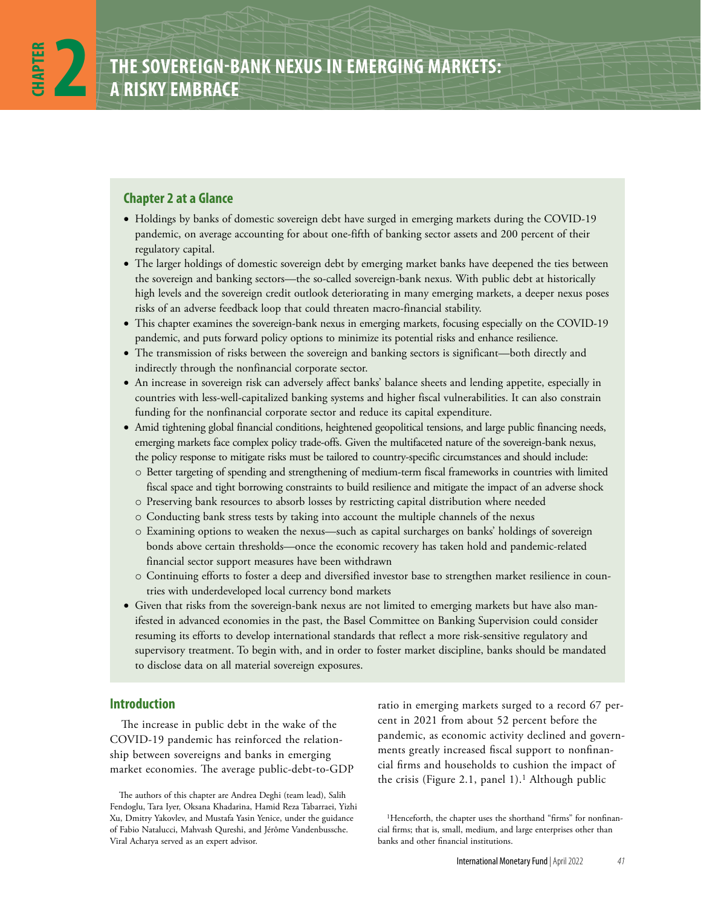## **Chapter 2 at a Glance**

- Holdings by banks of domestic sovereign debt have surged in emerging markets during the COVID-19 pandemic, on average accounting for about one-fifth of banking sector assets and 200 percent of their regulatory capital.
- The larger holdings of domestic sovereign debt by emerging market banks have deepened the ties between the sovereign and banking sectors—the so-called sovereign-bank nexus. With public debt at historically high levels and the sovereign credit outlook deteriorating in many emerging markets, a deeper nexus poses risks of an adverse feedback loop that could threaten macro-financial stability.
- This chapter examines the sovereign-bank nexus in emerging markets, focusing especially on the COVID-19 pandemic, and puts forward policy options to minimize its potential risks and enhance resilience.
- The transmission of risks between the sovereign and banking sectors is significant—both directly and indirectly through the nonfinancial corporate sector.
- An increase in sovereign risk can adversely affect banks' balance sheets and lending appetite, especially in countries with less-well-capitalized banking systems and higher fiscal vulnerabilities. It can also constrain funding for the nonfinancial corporate sector and reduce its capital expenditure.
- Amid tightening global financial conditions, heightened geopolitical tensions, and large public financing needs, emerging markets face complex policy trade-offs. Given the multifaceted nature of the sovereign-bank nexus, the policy response to mitigate risks must be tailored to country-specific circumstances and should include:
	- o Better targeting of spending and strengthening of medium-term fiscal frameworks in countries with limited fiscal space and tight borrowing constraints to build resilience and mitigate the impact of an adverse shock
	- o Preserving bank resources to absorb losses by restricting capital distribution where needed
	- o Conducting bank stress tests by taking into account the multiple channels of the nexus
	- o Examining options to weaken the nexus—such as capital surcharges on banks' holdings of sovereign bonds above certain thresholds—once the economic recovery has taken hold and pandemic-related financial sector support measures have been withdrawn
	- o Continuing efforts to foster a deep and diversified investor base to strengthen market resilience in countries with underdeveloped local currency bond markets
- Given that risks from the sovereign-bank nexus are not limited to emerging markets but have also manifested in advanced economies in the past, the Basel Committee on Banking Supervision could consider resuming its efforts to develop international standards that reflect a more risk-sensitive regulatory and supervisory treatment. To begin with, and in order to foster market discipline, banks should be mandated to disclose data on all material sovereign exposures.

## **Introduction**

The increase in public debt in the wake of the COVID-19 pandemic has reinforced the relationship between sovereigns and banks in emerging market economies. The average public-debt-to-GDP

The authors of this chapter are Andrea Deghi (team lead), Salih Fendoglu, Tara Iyer, Oksana Khadarina, Hamid Reza Tabarraei, Yizhi Xu, Dmitry Yakovlev, and Mustafa Yasin Yenice, under the guidance of Fabio Natalucci, Mahvash Qureshi, and Jérôme Vandenbussche. Viral Acharya served as an expert advisor.

ratio in emerging markets surged to a record 67 percent in 2021 from about 52 percent before the pandemic, as economic activity declined and governments greatly increased fiscal support to nonfinancial firms and households to cushion the impact of the crisis (Figure 2.1, panel 1).<sup>1</sup> Although public

<sup>&</sup>lt;sup>1</sup>Henceforth, the chapter uses the shorthand "firms" for nonfinancial firms; that is, small, medium, and large enterprises other than banks and other financial institutions.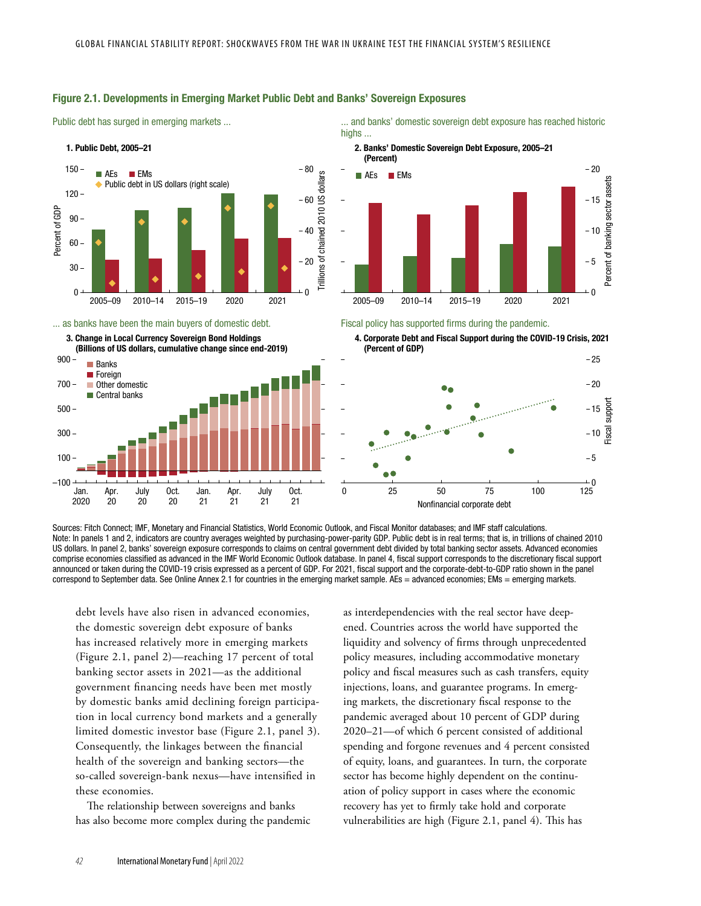

## Figure 2.1. Developments in Emerging Market Public Debt and Banks' Sovereign Exposures

Public debt has surged in emerging markets ...

... and banks' domestic sovereign debt exposure has reached historic highs ...





... as banks have been the main buyers of domestic debt.



Fiscal policy has supported firms during the pandemic.





Sources: Fitch Connect; IMF, Monetary and Financial Statistics, World Economic Outlook, and Fiscal Monitor databases; and IMF staff calculations. Note: In panels 1 and 2, indicators are country averages weighted by purchasing-power-parity GDP. Public debt is in real terms; that is, in trillions of chained 2010 US dollars. In panel 2, banks' sovereign exposure corresponds to claims on central government debt divided by total banking sector assets. Advanced economies comprise economies classified as advanced in the IMF World Economic Outlook database. In panel 4, fiscal support corresponds to the discretionary fiscal support announced or taken during the COVID-19 crisis expressed as a percent of GDP. For 2021, fiscal support and the corporate-debt-to-GDP ratio shown in the panel correspond to September data. See Online Annex 2.1 for countries in the emerging market sample. AEs = advanced economies; EMs = emerging markets.

debt levels have also risen in advanced economies, the domestic sovereign debt exposure of banks has increased relatively more in emerging markets (Figure 2.1, panel 2)—reaching 17 percent of total banking sector assets in 2021—as the additional government financing needs have been met mostly by domestic banks amid declining foreign participation in local currency bond markets and a generally limited domestic investor base (Figure 2.1, panel 3). Consequently, the linkages between the financial health of the sovereign and banking sectors—the so-called sovereign-bank nexus—have intensified in these economies.

The relationship between sovereigns and banks has also become more complex during the pandemic as interdependencies with the real sector have deepened. Countries across the world have supported the liquidity and solvency of firms through unprecedented policy measures, including accommodative monetary policy and fiscal measures such as cash transfers, equity injections, loans, and guarantee programs. In emerging markets, the discretionary fiscal response to the pandemic averaged about 10 percent of GDP during 2020–21—of which 6 percent consisted of additional spending and forgone revenues and 4 percent consisted of equity, loans, and guarantees. In turn, the corporate sector has become highly dependent on the continuation of policy support in cases where the economic recovery has yet to firmly take hold and corporate vulnerabilities are high (Figure 2.1, panel 4). This has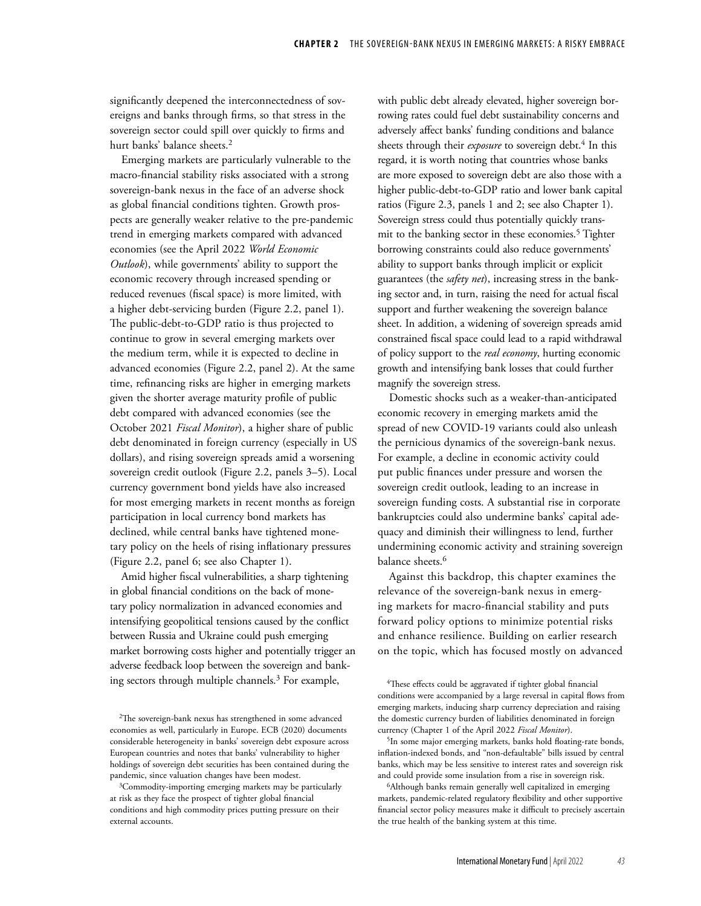significantly deepened the interconnectedness of sovereigns and banks through firms, so that stress in the sovereign sector could spill over quickly to firms and hurt banks' balance sheets.2

Emerging markets are particularly vulnerable to the macro-financial stability risks associated with a strong sovereign-bank nexus in the face of an adverse shock as global financial conditions tighten. Growth prospects are generally weaker relative to the pre-pandemic trend in emerging markets compared with advanced economies (see the April 2022 *World Economic Outlook*), while governments' ability to support the economic recovery through increased spending or reduced revenues (fiscal space) is more limited, with a higher debt-servicing burden (Figure 2.2, panel 1). The public-debt-to-GDP ratio is thus projected to continue to grow in several emerging markets over the medium term, while it is expected to decline in advanced economies (Figure 2.2, panel 2). At the same time, refinancing risks are higher in emerging markets given the shorter average maturity profile of public debt compared with advanced economies (see the October 2021 *Fiscal Monitor*), a higher share of public debt denominated in foreign currency (especially in US dollars), and rising sovereign spreads amid a worsening sovereign credit outlook (Figure 2.2, panels 3–5). Local currency government bond yields have also increased for most emerging markets in recent months as foreign participation in local currency bond markets has declined, while central banks have tightened monetary policy on the heels of rising inflationary pressures (Figure 2.2, panel 6; see also Chapter 1).

Amid higher fiscal vulnerabilities, a sharp tightening in global financial conditions on the back of monetary policy normalization in advanced economies and intensifying geopolitical tensions caused by the conflict between Russia and Ukraine could push emerging market borrowing costs higher and potentially trigger an adverse feedback loop between the sovereign and banking sectors through multiple channels. $3$  For example,

with public debt already elevated, higher sovereign borrowing rates could fuel debt sustainability concerns and adversely affect banks' funding conditions and balance sheets through their *exposure* to sovereign debt.<sup>4</sup> In this regard, it is worth noting that countries whose banks are more exposed to sovereign debt are also those with a higher public-debt-to-GDP ratio and lower bank capital ratios (Figure 2.3, panels 1 and 2; see also Chapter 1). Sovereign stress could thus potentially quickly transmit to the banking sector in these economies.<sup>5</sup> Tighter borrowing constraints could also reduce governments' ability to support banks through implicit or explicit guarantees (the *safety net*), increasing stress in the banking sector and, in turn, raising the need for actual fiscal support and further weakening the sovereign balance sheet. In addition, a widening of sovereign spreads amid constrained fiscal space could lead to a rapid withdrawal of policy support to the *real economy*, hurting economic growth and intensifying bank losses that could further magnify the sovereign stress.

Domestic shocks such as a weaker-than-anticipated economic recovery in emerging markets amid the spread of new COVID-19 variants could also unleash the pernicious dynamics of the sovereign-bank nexus. For example, a decline in economic activity could put public finances under pressure and worsen the sovereign credit outlook, leading to an increase in sovereign funding costs. A substantial rise in corporate bankruptcies could also undermine banks' capital adequacy and diminish their willingness to lend, further undermining economic activity and straining sovereign balance sheets.<sup>6</sup>

Against this backdrop, this chapter examines the relevance of the sovereign-bank nexus in emerging markets for macro-financial stability and puts forward policy options to minimize potential risks and enhance resilience. Building on earlier research on the topic, which has focused mostly on advanced

<sup>2</sup>The sovereign-bank nexus has strengthened in some advanced economies as well, particularly in Europe. ECB (2020) documents considerable heterogeneity in banks' sovereign debt exposure across European countries and notes that banks' vulnerability to higher holdings of sovereign debt securities has been contained during the pandemic, since valuation changes have been modest.

<sup>&</sup>lt;sup>3</sup>Commodity-importing emerging markets may be particularly at risk as they face the prospect of tighter global financial conditions and high commodity prices putting pressure on their external accounts.

<sup>4</sup>These effects could be aggravated if tighter global financial conditions were accompanied by a large reversal in capital flows from emerging markets, inducing sharp currency depreciation and raising the domestic currency burden of liabilities denominated in foreign currency (Chapter 1 of the April 2022 *Fiscal Monitor*).

<sup>&</sup>lt;sup>5</sup>In some major emerging markets, banks hold floating-rate bonds, inflation-indexed bonds, and "non-defaultable" bills issued by central banks, which may be less sensitive to interest rates and sovereign risk and could provide some insulation from a rise in sovereign risk.

<sup>6</sup>Although banks remain generally well capitalized in emerging markets, pandemic-related regulatory flexibility and other supportive financial sector policy measures make it difficult to precisely ascertain the true health of the banking system at this time.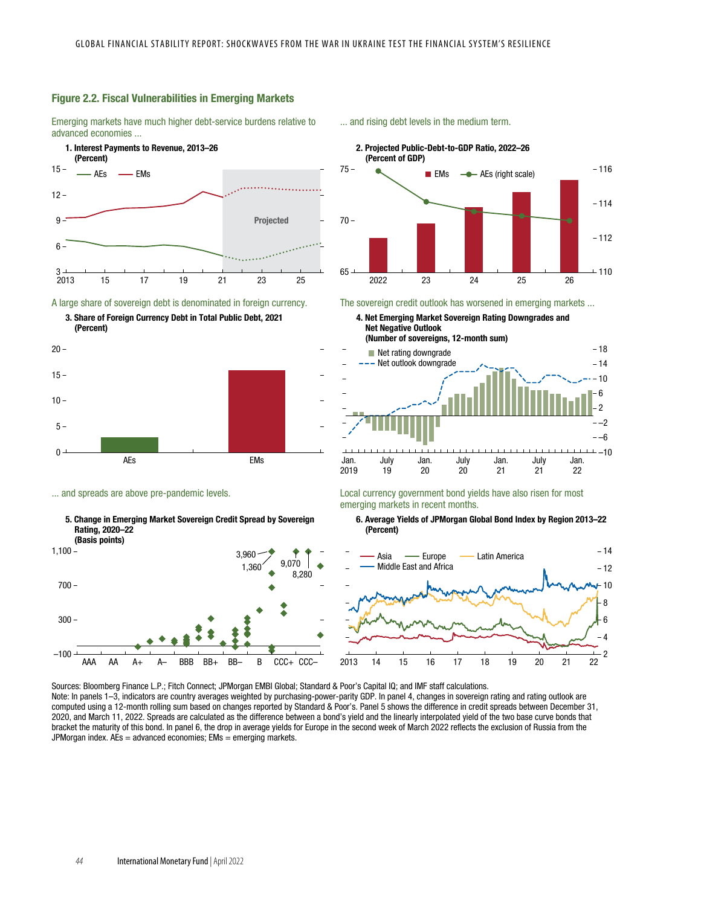

Emerging markets have much higher debt-service burdens relative to advanced economies ...



A large share of sovereign debt is denominated in foreign currency.

3. Share of Foreign Currency Debt in Total Public Debt, 2021 (Percent)



... and spreads are above pre-pandemic levels.





... and rising debt levels in the medium term.



The sovereign credit outlook has worsened in emerging markets ...

4. Net Emerging Market Sovereign Rating Downgrades and



Local currency government bond yields have also risen for most emerging markets in recent months.

#### 6. Average Yields of JPMorgan Global Bond Index by Region 2013–22 (Percent)



Sources: Bloomberg Finance L.P.; Fitch Connect; JPMorgan EMBI Global; Standard & Poor's Capital IQ; and IMF staff calculations. Note: In panels 1–3, indicators are country averages weighted by purchasing-power-parity GDP. In panel 4, changes in sovereign rating and rating outlook are computed using a 12-month rolling sum based on changes reported by Standard & Poor's. Panel 5 shows the difference in credit spreads between December 31, 2020, and March 11, 2022. Spreads are calculated as the difference between a bond's yield and the linearly interpolated yield of the two base curve bonds that bracket the maturity of this bond. In panel 6, the drop in average yields for Europe in the second week of March 2022 reflects the exclusion of Russia from the JPMorgan index.  $A\overline{E}s =$  advanced economies;  $EMs =$  emerging markets.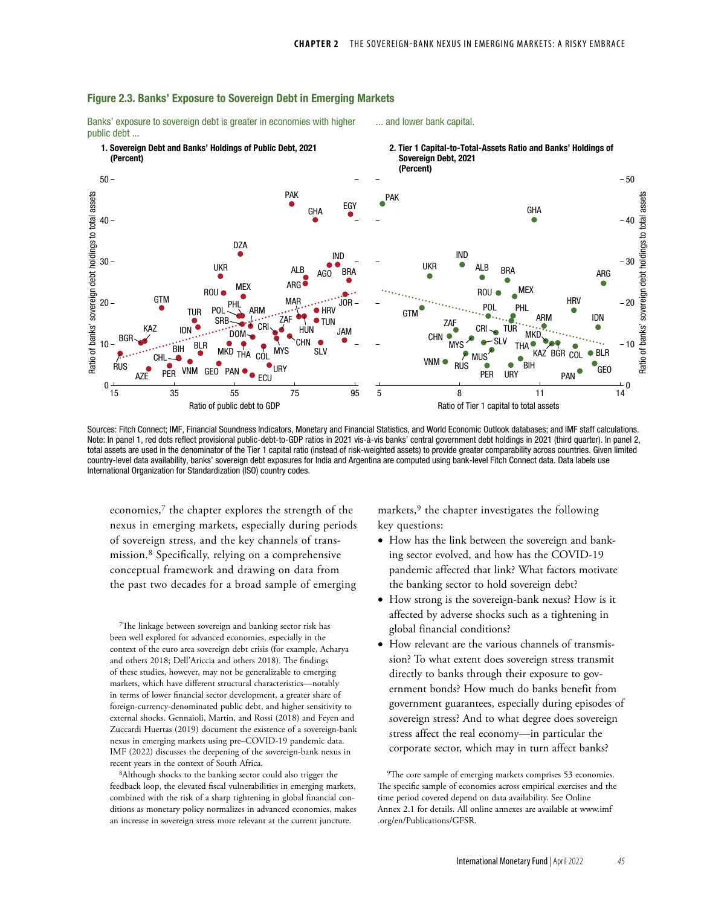... and lower bank capital.



### Figure 2.3. Banks' Exposure to Sovereign Debt in Emerging Markets

Banks' exposure to sovereign debt is greater in economies with higher

Sources: Fitch Connect; IMF, Financial Soundness Indicators, Monetary and Financial Statistics, and World Economic Outlook databases; and IMF staff calculations. Note: In panel 1, red dots reflect provisional public-debt-to-GDP ratios in 2021 vis-à-vis banks' central government debt holdings in 2021 (third quarter). In panel 2, total assets are used in the denominator of the Tier 1 capital ratio (instead of risk-weighted assets) to provide greater comparability across countries. Given limited country-level data availability, banks' sovereign debt exposures for India and Argentina are computed using bank-level Fitch Connect data. Data labels use International Organization for Standardization (ISO) country codes.

economies, $<sup>7</sup>$  the chapter explores the strength of the</sup> nexus in emerging markets, especially during periods of sovereign stress, and the key channels of transmission.8 Specifically, relying on a comprehensive conceptual framework and drawing on data from the past two decades for a broad sample of emerging

7The linkage between sovereign and banking sector risk has been well explored for advanced economies, especially in the context of the euro area sovereign debt crisis (for example, Acharya and others 2018; Dell'Ariccia and others 2018). The findings of these studies, however, may not be generalizable to emerging markets, which have different structural characteristics—notably in terms of lower financial sector development, a greater share of foreign-currency-denominated public debt, and higher sensitivity to external shocks. Gennaioli, Martin, and Rossi (2018) and Feyen and Zuccardi Huertas (2019) document the existence of a sovereign-bank nexus in emerging markets using pre–COVID-19 pandemic data. IMF (2022) discusses the deepening of the sovereign-bank nexus in recent years in the context of South Africa.

8Although shocks to the banking sector could also trigger the feedback loop, the elevated fiscal vulnerabilities in emerging markets, combined with the risk of a sharp tightening in global financial conditions as monetary policy normalizes in advanced economies, makes an increase in sovereign stress more relevant at the current juncture.

markets,<sup>9</sup> the chapter investigates the following key questions:

- How has the link between the sovereign and banking sector evolved, and how has the COVID-19 pandemic affected that link? What factors motivate the banking sector to hold sovereign debt?
- How strong is the sovereign-bank nexus? How is it affected by adverse shocks such as a tightening in global financial conditions?
- How relevant are the various channels of transmission? To what extent does sovereign stress transmit directly to banks through their exposure to government bonds? How much do banks benefit from government guarantees, especially during episodes of sovereign stress? And to what degree does sovereign stress affect the real economy—in particular the corporate sector, which may in turn affect banks?

9The core sample of emerging markets comprises 53 economies. The specific sample of economies across empirical exercises and the time period covered depend on data availability. See Online Annex 2.1 for details. All online annexes are available at www.imf .org/en/Publications/GFSR.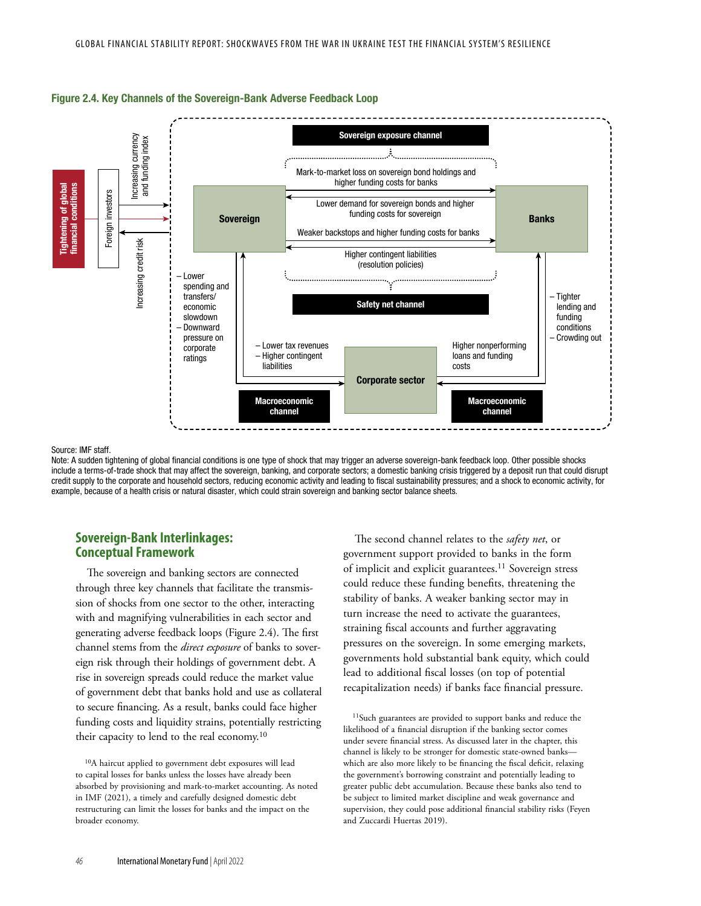



#### Source: IMF staff.

Note: A sudden tightening of global financial conditions is one type of shock that may trigger an adverse sovereign-bank feedback loop. Other possible shocks include a terms-of-trade shock that may affect the sovereign, banking, and corporate sectors; a domestic banking crisis triggered by a deposit run that could disrupt credit supply to the corporate and household sectors, reducing economic activity and leading to fiscal sustainability pressures; and a shock to economic activity, for example, because of a health crisis or natural disaster, which could strain sovereign and banking sector balance sheets.

# **Sovereign-Bank Interlinkages: Conceptual Framework**

The sovereign and banking sectors are connected through three key channels that facilitate the transmission of shocks from one sector to the other, interacting with and magnifying vulnerabilities in each sector and generating adverse feedback loops (Figure 2.4). The first channel stems from the *direct exposure* of banks to sovereign risk through their holdings of government debt. A rise in sovereign spreads could reduce the market value of government debt that banks hold and use as collateral to secure financing. As a result, banks could face higher funding costs and liquidity strains, potentially restricting their capacity to lend to the real economy.10

10A haircut applied to government debt exposures will lead to capital losses for banks unless the losses have already been absorbed by provisioning and mark-to-market accounting. As noted in IMF (2021), a timely and carefully designed domestic debt restructuring can limit the losses for banks and the impact on the broader economy.

The second channel relates to the *safety net*, or government support provided to banks in the form of implicit and explicit guarantees.<sup>11</sup> Sovereign stress could reduce these funding benefits, threatening the stability of banks. A weaker banking sector may in turn increase the need to activate the guarantees, straining fiscal accounts and further aggravating pressures on the sovereign. In some emerging markets, governments hold substantial bank equity, which could lead to additional fiscal losses (on top of potential recapitalization needs) if banks face financial pressure.

11Such guarantees are provided to support banks and reduce the likelihood of a financial disruption if the banking sector comes under severe financial stress. As discussed later in the chapter, this channel is likely to be stronger for domestic state-owned banks which are also more likely to be financing the fiscal deficit, relaxing the government's borrowing constraint and potentially leading to greater public debt accumulation. Because these banks also tend to be subject to limited market discipline and weak governance and supervision, they could pose additional financial stability risks (Feyen and Zuccardi Huertas 2019).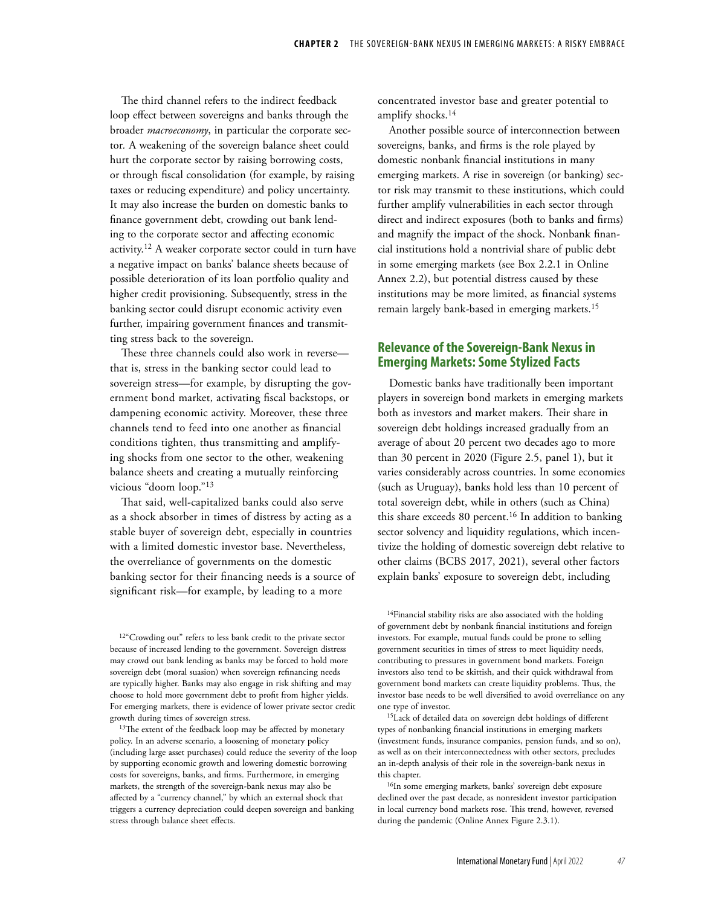The third channel refers to the indirect feedback loop effect between sovereigns and banks through the broader *macroeconomy*, in particular the corporate sector*.* A weakening of the sovereign balance sheet could hurt the corporate sector by raising borrowing costs, or through fiscal consolidation (for example, by raising taxes or reducing expenditure) and policy uncertainty. It may also increase the burden on domestic banks to finance government debt, crowding out bank lending to the corporate sector and affecting economic activity.<sup>12</sup> A weaker corporate sector could in turn have a negative impact on banks' balance sheets because of possible deterioration of its loan portfolio quality and higher credit provisioning. Subsequently, stress in the banking sector could disrupt economic activity even further, impairing government finances and transmitting stress back to the sovereign.

These three channels could also work in reverse that is, stress in the banking sector could lead to sovereign stress—for example, by disrupting the government bond market, activating fiscal backstops, or dampening economic activity. Moreover, these three channels tend to feed into one another as financial conditions tighten, thus transmitting and amplifying shocks from one sector to the other, weakening balance sheets and creating a mutually reinforcing vicious "doom loop."13

That said, well-capitalized banks could also serve as a shock absorber in times of distress by acting as a stable buyer of sovereign debt, especially in countries with a limited domestic investor base. Nevertheless, the overreliance of governments on the domestic banking sector for their financing needs is a source of significant risk—for example, by leading to a more

12"Crowding out" refers to less bank credit to the private sector because of increased lending to the government. Sovereign distress may crowd out bank lending as banks may be forced to hold more sovereign debt (moral suasion) when sovereign refinancing needs are typically higher. Banks may also engage in risk shifting and may choose to hold more government debt to profit from higher yields. For emerging markets, there is evidence of lower private sector credit growth during times of sovereign stress.

<sup>13</sup>The extent of the feedback loop may be affected by monetary policy. In an adverse scenario, a loosening of monetary policy (including large asset purchases) could reduce the severity of the loop by supporting economic growth and lowering domestic borrowing costs for sovereigns, banks, and firms. Furthermore, in emerging markets, the strength of the sovereign-bank nexus may also be affected by a "currency channel," by which an external shock that triggers a currency depreciation could deepen sovereign and banking stress through balance sheet effects.

concentrated investor base and greater potential to amplify shocks.14

Another possible source of interconnection between sovereigns, banks, and firms is the role played by domestic nonbank financial institutions in many emerging markets. A rise in sovereign (or banking) sector risk may transmit to these institutions, which could further amplify vulnerabilities in each sector through direct and indirect exposures (both to banks and firms) and magnify the impact of the shock. Nonbank financial institutions hold a nontrivial share of public debt in some emerging markets (see Box 2.2.1 in Online Annex 2.2), but potential distress caused by these institutions may be more limited, as financial systems remain largely bank-based in emerging markets.15

## **Relevance of the Sovereign-Bank Nexus in Emerging Markets: Some Stylized Facts**

Domestic banks have traditionally been important players in sovereign bond markets in emerging markets both as investors and market makers. Their share in sovereign debt holdings increased gradually from an average of about 20 percent two decades ago to more than 30 percent in 2020 (Figure 2.5, panel 1), but it varies considerably across countries. In some economies (such as Uruguay), banks hold less than 10 percent of total sovereign debt, while in others (such as China) this share exceeds 80 percent.<sup>16</sup> In addition to banking sector solvency and liquidity regulations, which incentivize the holding of domestic sovereign debt relative to other claims (BCBS 2017, 2021), several other factors explain banks' exposure to sovereign debt, including

<sup>14</sup>Financial stability risks are also associated with the holding of government debt by nonbank financial institutions and foreign investors. For example, mutual funds could be prone to selling government securities in times of stress to meet liquidity needs, contributing to pressures in government bond markets. Foreign investors also tend to be skittish, and their quick withdrawal from government bond markets can create liquidity problems. Thus, the investor base needs to be well diversified to avoid overreliance on any one type of investor.

15Lack of detailed data on sovereign debt holdings of different types of nonbanking financial institutions in emerging markets (investment funds, insurance companies, pension funds, and so on), as well as on their interconnectedness with other sectors, precludes an in-depth analysis of their role in the sovereign-bank nexus in this chapter.

16In some emerging markets, banks' sovereign debt exposure declined over the past decade, as nonresident investor participation in local currency bond markets rose. This trend, however, reversed during the pandemic (Online Annex Figure 2.3.1).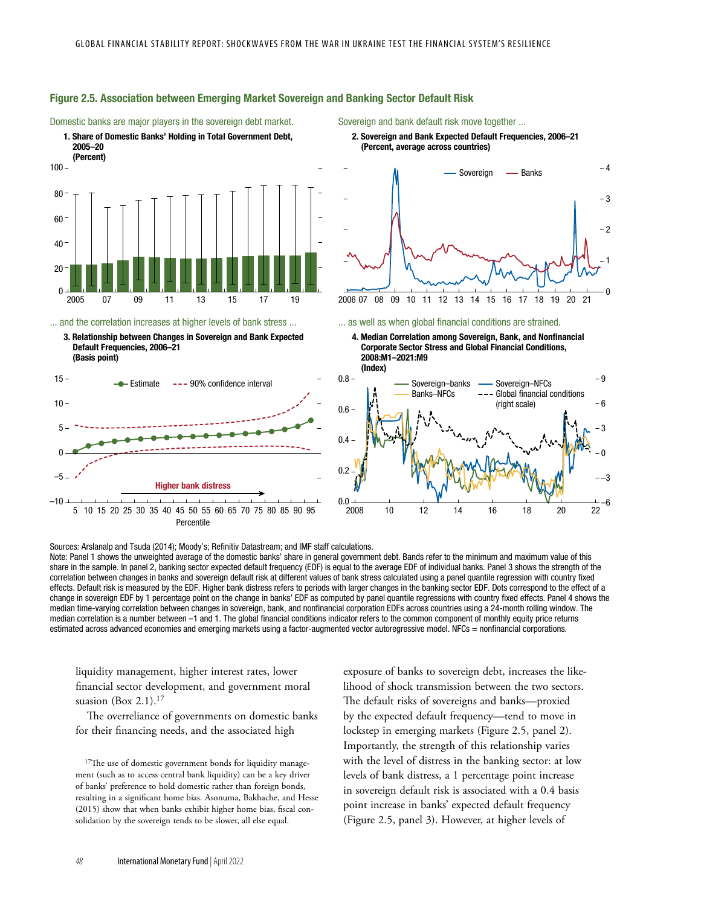

### Figure 2.5. Association between Emerging Market Sovereign and Banking Sector Default Risk



2. Sovereign and Bank Expected Default Frequencies, 2006–21 (Percent, average across countries)



#### ... as well as when global financial conditions are strained.

4. Median Correlation among Sovereign, Bank, and Nonfinancial Corporate Sector Stress and Global Financial Conditions, 2008:M1–2021:M9 (Index)



Sources: Arslanalp and Tsuda (2014); Moody's; Refinitiv Datastream; and IMF staff calculations.

Percentile

–10

Note: Panel 1 shows the unweighted average of the domestic banks' share in general government debt. Bands refer to the minimum and maximum value of this share in the sample. In panel 2, banking sector expected default frequency (EDF) is equal to the average EDF of individual banks. Panel 3 shows the strength of the correlation between changes in banks and sovereign default risk at different values of bank stress calculated using a panel quantile regression with country fixed effects. Default risk is measured by the EDF. Higher bank distress refers to periods with larger changes in the banking sector EDF. Dots correspond to the effect of a change in sovereign EDF by 1 percentage point on the change in banks' EDF as computed by panel quantile regressions with country fixed effects. Panel 4 shows the median time-varying correlation between changes in sovereign, bank, and nonfinancial corporation EDFs across countries using a 24-month rolling window. The median correlation is a number between –1 and 1. The global financial conditions indicator refers to the common component of monthly equity price returns estimated across advanced economies and emerging markets using a factor-augmented vector autoregressive model. NFCs = nonfinancial corporations.

liquidity management, higher interest rates, lower financial sector development, and government moral suasion (Box  $2.1$ ).<sup>17</sup>

The overreliance of governments on domestic banks for their financing needs, and the associated high

<sup>17</sup>The use of domestic government bonds for liquidity management (such as to access central bank liquidity) can be a key driver of banks' preference to hold domestic rather than foreign bonds, resulting in a significant home bias. Asonuma, Bakhache, and Hesse (2015) show that when banks exhibit higher home bias, fiscal consolidation by the sovereign tends to be slower, all else equal.

exposure of banks to sovereign debt, increases the likelihood of shock transmission between the two sectors. The default risks of sovereigns and banks—proxied by the expected default frequency—tend to move in lockstep in emerging markets (Figure 2.5, panel 2). Importantly, the strength of this relationship varies with the level of distress in the banking sector: at low levels of bank distress, a 1 percentage point increase in sovereign default risk is associated with a 0.4 basis point increase in banks' expected default frequency (Figure 2.5, panel 3). However, at higher levels of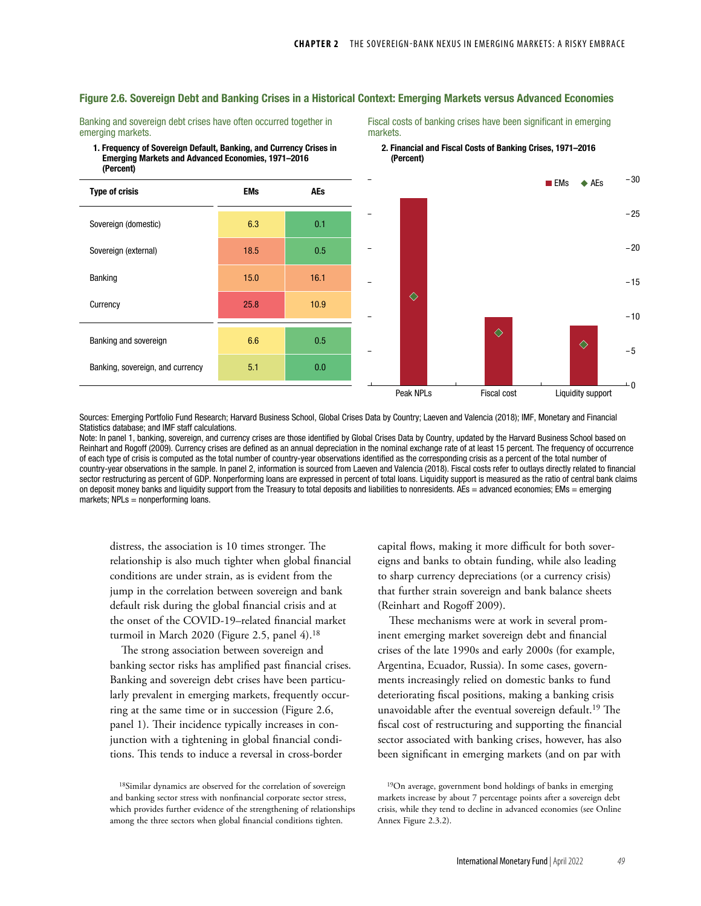## Figure 2.6. Sovereign Debt and Banking Crises in a Historical Context: Emerging Markets versus Advanced Economies

Banking and sovereign debt crises have often occurred together in emerging markets.

1. Frequency of Sovereign Default, Banking, and Currency Crises in Emerging Markets and Advanced Economies, 1971–2016 (Percent)

| <b>Type of crisis</b>            | <b>EMs</b> | <b>AEs</b> |
|----------------------------------|------------|------------|
| Sovereign (domestic)             | 6.3        | 0.1        |
| Sovereign (external)             | 18.5       | 0.5        |
| <b>Banking</b>                   | 15.0       | 16.1       |
| Currency                         | 25.8       | 10.9       |
| Banking and sovereign            | 6.6        | 0.5        |
| Banking, sovereign, and currency | 5.1        | 0.0        |

Fiscal costs of banking crises have been significant in emerging markets.





Sources: Emerging Portfolio Fund Research; Harvard Business School, Global Crises Data by Country; Laeven and Valencia (2018); IMF, Monetary and Financial Statistics database; and IMF staff calculations.

Note: In panel 1, banking, sovereign, and currency crises are those identified by Global Crises Data by Country, updated by the Harvard Business School based on Reinhart and Rogoff (2009). Currency crises are defined as an annual depreciation in the nominal exchange rate of at least 15 percent. The frequency of occurrence of each type of crisis is computed as the total number of country-year observations identified as the corresponding crisis as a percent of the total number of country-year observations in the sample. In panel 2, information is sourced from Laeven and Valencia (2018). Fiscal costs refer to outlays directly related to financial sector restructuring as percent of GDP. Nonperforming loans are expressed in percent of total loans. Liquidity support is measured as the ratio of central bank claims on deposit money banks and liquidity support from the Treasury to total deposits and liabilities to nonresidents. AEs = advanced economies; EMs = emerging markets;  $NPLs = nonperforming loans$ .

distress, the association is 10 times stronger. The relationship is also much tighter when global financial conditions are under strain, as is evident from the jump in the correlation between sovereign and bank default risk during the global financial crisis and at the onset of the COVID-19–related financial market turmoil in March 2020 (Figure 2.5, panel 4).<sup>18</sup>

The strong association between sovereign and banking sector risks has amplified past financial crises. Banking and sovereign debt crises have been particularly prevalent in emerging markets, frequently occurring at the same time or in succession (Figure 2.6, panel 1). Their incidence typically increases in conjunction with a tightening in global financial conditions. This tends to induce a reversal in cross-border

capital flows, making it more difficult for both sovereigns and banks to obtain funding, while also leading to sharp currency depreciations (or a currency crisis) that further strain sovereign and bank balance sheets (Reinhart and Rogoff 2009).

These mechanisms were at work in several prominent emerging market sovereign debt and financial crises of the late 1990s and early 2000s (for example, Argentina, Ecuador, Russia). In some cases, governments increasingly relied on domestic banks to fund deteriorating fiscal positions, making a banking crisis unavoidable after the eventual sovereign default.19 The fiscal cost of restructuring and supporting the financial sector associated with banking crises, however, has also been significant in emerging markets (and on par with

<sup>18</sup>Similar dynamics are observed for the correlation of sovereign and banking sector stress with nonfinancial corporate sector stress, which provides further evidence of the strengthening of relationships among the three sectors when global financial conditions tighten.

<sup>19</sup>On average, government bond holdings of banks in emerging markets increase by about 7 percentage points after a sovereign debt crisis, while they tend to decline in advanced economies (see Online Annex Figure 2.3.2).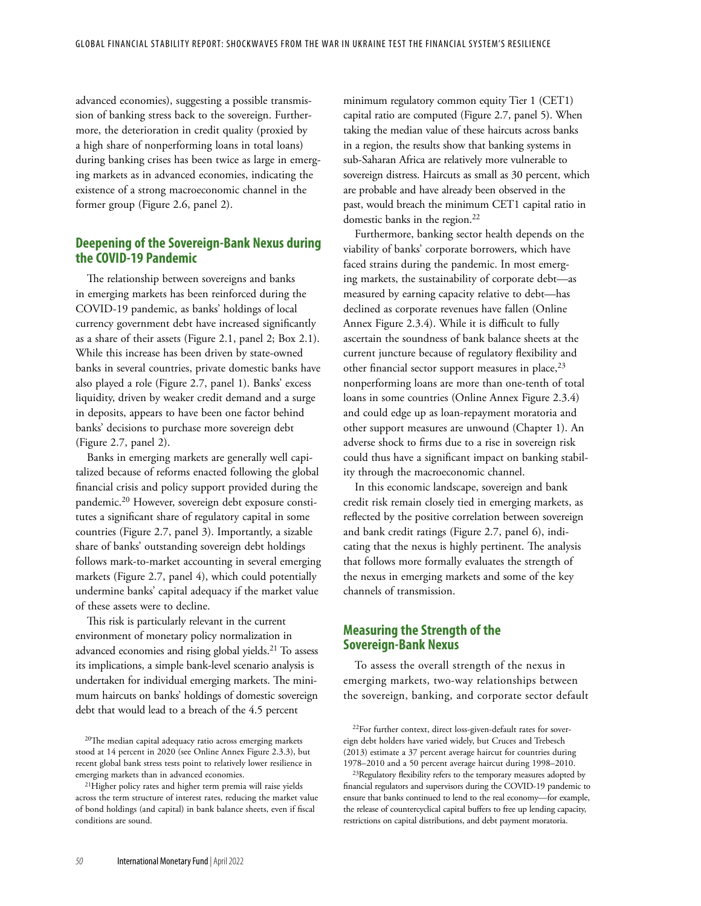advanced economies), suggesting a possible transmission of banking stress back to the sovereign. Furthermore, the deterioration in credit quality (proxied by a high share of nonperforming loans in total loans) during banking crises has been twice as large in emerging markets as in advanced economies, indicating the existence of a strong macroeconomic channel in the former group (Figure 2.6, panel 2).

# **Deepening of the Sovereign-Bank Nexus during the COVID-19 Pandemic**

The relationship between sovereigns and banks in emerging markets has been reinforced during the COVID-19 pandemic, as banks' holdings of local currency government debt have increased significantly as a share of their assets (Figure 2.1, panel 2; Box 2.1). While this increase has been driven by state-owned banks in several countries, private domestic banks have also played a role (Figure 2.7, panel 1). Banks' excess liquidity, driven by weaker credit demand and a surge in deposits, appears to have been one factor behind banks' decisions to purchase more sovereign debt (Figure 2.7, panel 2).

Banks in emerging markets are generally well capitalized because of reforms enacted following the global financial crisis and policy support provided during the pandemic.20 However, sovereign debt exposure constitutes a significant share of regulatory capital in some countries (Figure 2.7, panel 3). Importantly, a sizable share of banks' outstanding sovereign debt holdings follows mark-to-market accounting in several emerging markets (Figure 2.7, panel 4), which could potentially undermine banks' capital adequacy if the market value of these assets were to decline.

This risk is particularly relevant in the current environment of monetary policy normalization in advanced economies and rising global yields.<sup>21</sup> To assess its implications, a simple bank-level scenario analysis is undertaken for individual emerging markets. The minimum haircuts on banks' holdings of domestic sovereign debt that would lead to a breach of the 4.5 percent

minimum regulatory common equity Tier 1 (CET1) capital ratio are computed (Figure 2.7, panel 5). When taking the median value of these haircuts across banks in a region, the results show that banking systems in sub-Saharan Africa are relatively more vulnerable to sovereign distress. Haircuts as small as 30 percent, which are probable and have already been observed in the past, would breach the minimum CET1 capital ratio in domestic banks in the region.<sup>22</sup>

Furthermore, banking sector health depends on the viability of banks' corporate borrowers, which have faced strains during the pandemic. In most emerging markets, the sustainability of corporate debt—as measured by earning capacity relative to debt—has declined as corporate revenues have fallen (Online Annex Figure 2.3.4). While it is difficult to fully ascertain the soundness of bank balance sheets at the current juncture because of regulatory flexibility and other financial sector support measures in place,  $23$ nonperforming loans are more than one-tenth of total loans in some countries (Online Annex Figure 2.3.4) and could edge up as loan-repayment moratoria and other support measures are unwound (Chapter 1). An adverse shock to firms due to a rise in sovereign risk could thus have a significant impact on banking stability through the macroeconomic channel.

In this economic landscape, sovereign and bank credit risk remain closely tied in emerging markets, as reflected by the positive correlation between sovereign and bank credit ratings (Figure 2.7, panel 6), indicating that the nexus is highly pertinent. The analysis that follows more formally evaluates the strength of the nexus in emerging markets and some of the key channels of transmission.

# **Measuring the Strength of the Sovereign-Bank Nexus**

To assess the overall strength of the nexus in emerging markets, two-way relationships between the sovereign, banking, and corporate sector default

<sup>20</sup>The median capital adequacy ratio across emerging markets stood at 14 percent in 2020 (see Online Annex Figure 2.3.3), but recent global bank stress tests point to relatively lower resilience in emerging markets than in advanced economies.

<sup>21</sup>Higher policy rates and higher term premia will raise yields across the term structure of interest rates, reducing the market value of bond holdings (and capital) in bank balance sheets, even if fiscal conditions are sound.

<sup>22</sup>For further context, direct loss-given-default rates for sovereign debt holders have varied widely, but Cruces and Trebesch (2013) estimate a 37 percent average haircut for countries during 1978–2010 and a 50 percent average haircut during 1998–2010.

<sup>&</sup>lt;sup>23</sup>Regulatory flexibility refers to the temporary measures adopted by financial regulators and supervisors during the COVID-19 pandemic to ensure that banks continued to lend to the real economy—for example, the release of countercyclical capital buffers to free up lending capacity, restrictions on capital distributions, and debt payment moratoria.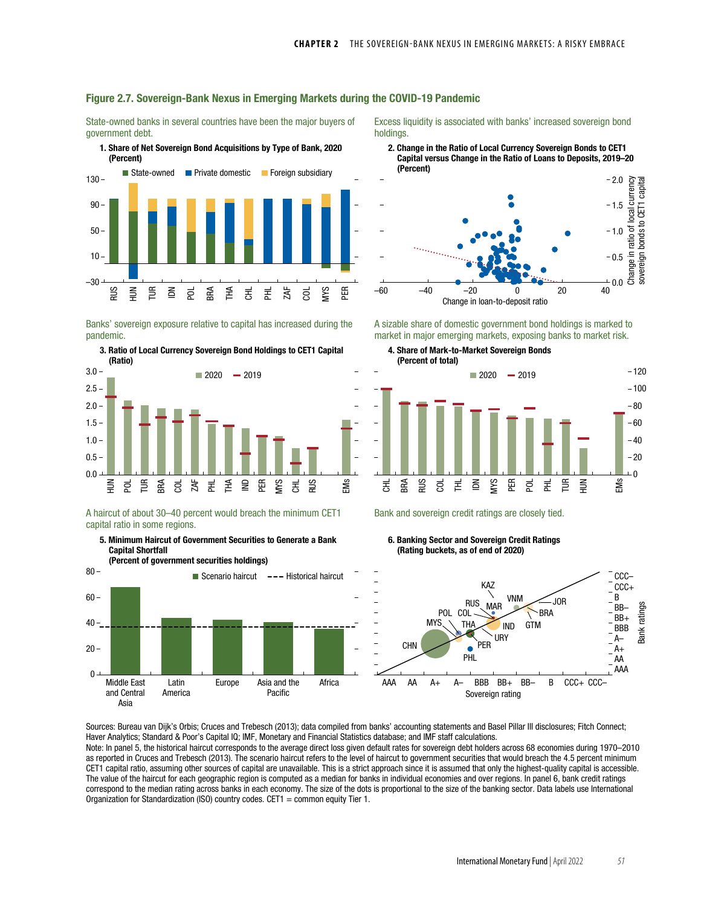### Figure 2.7. Sovereign-Bank Nexus in Emerging Markets during the COVID-19 Pandemic

State-owned banks in several countries have been the major buyers of government debt.

1. Share of Net Sovereign Bond Acquisitions by Type of Bank, 2020 (Percent)



Banks' sovereign exposure relative to capital has increased during the pandemic.



### A haircut of about 30–40 percent would breach the minimum CET1 capital ratio in some regions.

5. Minimum Haircut of Government Securities to Generate a Bank Capital Shortfall (Percent of government securities holdings)



Asia

Excess liquidity is associated with banks' increased sovereign bond holdings.

2. Change in the Ratio of Local Currency Sovereign Bonds to CET1 Capital versus Change in the Ratio of Loans to Deposits, 2019–20 (Percent)



A sizable share of domestic government bond holdings is marked to market in major emerging markets, exposing banks to market risk.





#### Bank and sovereign credit ratings are closely tied.





Sources: Bureau van Dijk's Orbis; Cruces and Trebesch (2013); data compiled from banks' accounting statements and Basel Pillar III disclosures; Fitch Connect; Haver Analytics; Standard & Poor's Capital IQ; IMF, Monetary and Financial Statistics database; and IMF staff calculations. Note: In panel 5, the historical haircut corresponds to the average direct loss given default rates for sovereign debt holders across 68 economies during 1970–2010 as reported in Cruces and Trebesch (2013). The scenario haircut refers to the level of haircut to government securities that would breach the 4.5 percent minimum CET1 capital ratio, assuming other sources of capital are unavailable. This is a strict approach since it is assumed that only the highest-quality capital is accessible. The value of the haircut for each geographic region is computed as a median for banks in individual economies and over regions. In panel 6, bank credit ratings correspond to the median rating across banks in each economy. The size of the dots is proportional to the size of the banking sector. Data labels use International Organization for Standardization (ISO) country codes. CET1 = common equity Tier 1.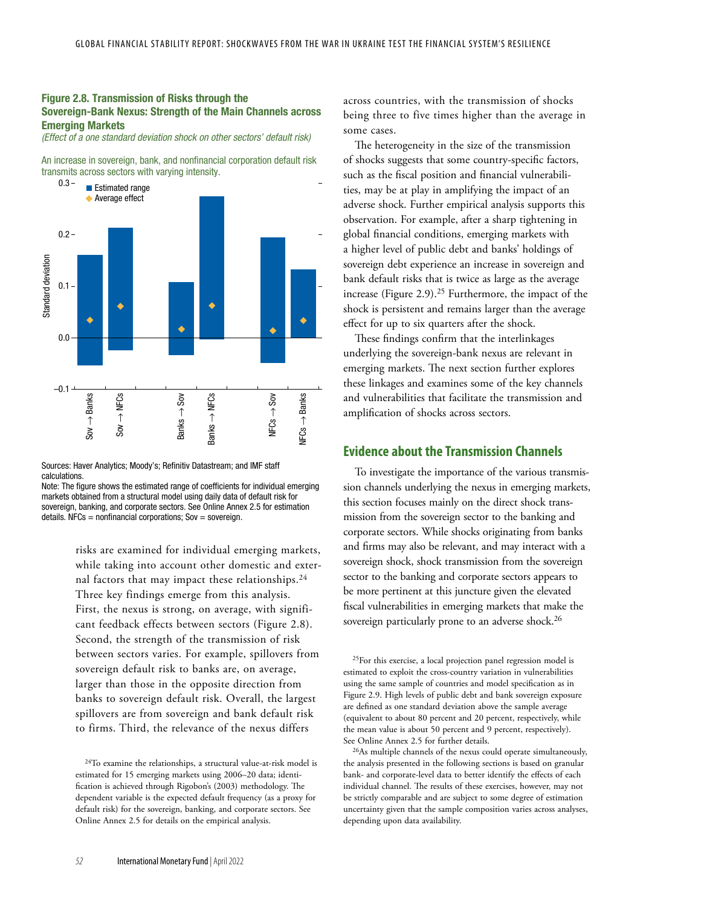## Figure 2.8. Transmission of Risks through the Sovereign-Bank Nexus: Strength of the Main Channels across Emerging Markets

*(Effect of a one standard deviation shock on other sectors' default risk)*

An increase in sovereign, bank, and nonfinancial corporation default risk transmits across sectors with varying intensity.



Sources: Haver Analytics; Moody's; Refinitiv Datastream; and IMF staff calculations.

Note: The figure shows the estimated range of coefficients for individual emerging markets obtained from a structural model using daily data of default risk for sovereign, banking, and corporate sectors. See Online Annex 2.5 for estimation details.  $NFCs = nonfinancial corporations; Sov = sovereign.$ 

> risks are examined for individual emerging markets, while taking into account other domestic and external factors that may impact these relationships.24 Three key findings emerge from this analysis. First, the nexus is strong, on average, with significant feedback effects between sectors (Figure 2.8). Second, the strength of the transmission of risk between sectors varies. For example, spillovers from sovereign default risk to banks are, on average, larger than those in the opposite direction from banks to sovereign default risk. Overall, the largest spillovers are from sovereign and bank default risk to firms. Third, the relevance of the nexus differs

across countries, with the transmission of shocks being three to five times higher than the average in some cases.

The heterogeneity in the size of the transmission of shocks suggests that some country-specific factors, such as the fiscal position and financial vulnerabilities, may be at play in amplifying the impact of an adverse shock. Further empirical analysis supports this observation. For example, after a sharp tightening in global financial conditions, emerging markets with a higher level of public debt and banks' holdings of sovereign debt experience an increase in sovereign and bank default risks that is twice as large as the average increase (Figure 2.9).25 Furthermore, the impact of the shock is persistent and remains larger than the average effect for up to six quarters after the shock.

These findings confirm that the interlinkages underlying the sovereign-bank nexus are relevant in emerging markets. The next section further explores these linkages and examines some of the key channels and vulnerabilities that facilitate the transmission and amplification of shocks across sectors.

## **Evidence about the Transmission Channels**

To investigate the importance of the various transmission channels underlying the nexus in emerging markets, this section focuses mainly on the direct shock transmission from the sovereign sector to the banking and corporate sectors. While shocks originating from banks and firms may also be relevant, and may interact with a sovereign shock, shock transmission from the sovereign sector to the banking and corporate sectors appears to be more pertinent at this juncture given the elevated fiscal vulnerabilities in emerging markets that make the sovereign particularly prone to an adverse shock.<sup>26</sup>

<sup>24</sup>To examine the relationships, a structural value-at-risk model is estimated for 15 emerging markets using 2006–20 data; identification is achieved through Rigobon's (2003) methodology. The dependent variable is the expected default frequency (as a proxy for default risk) for the sovereign, banking, and corporate sectors. See Online Annex 2.5 for details on the empirical analysis.

<sup>&</sup>lt;sup>25</sup>For this exercise, a local projection panel regression model is estimated to exploit the cross-country variation in vulnerabilities using the same sample of countries and model specification as in Figure 2.9. High levels of public debt and bank sovereign exposure are defined as one standard deviation above the sample average (equivalent to about 80 percent and 20 percent, respectively, while the mean value is about 50 percent and 9 percent, respectively). See Online Annex 2.5 for further details.

<sup>26</sup>As multiple channels of the nexus could operate simultaneously, the analysis presented in the following sections is based on granular bank- and corporate-level data to better identify the effects of each individual channel. The results of these exercises, however, may not be strictly comparable and are subject to some degree of estimation uncertainty given that the sample composition varies across analyses, depending upon data availability.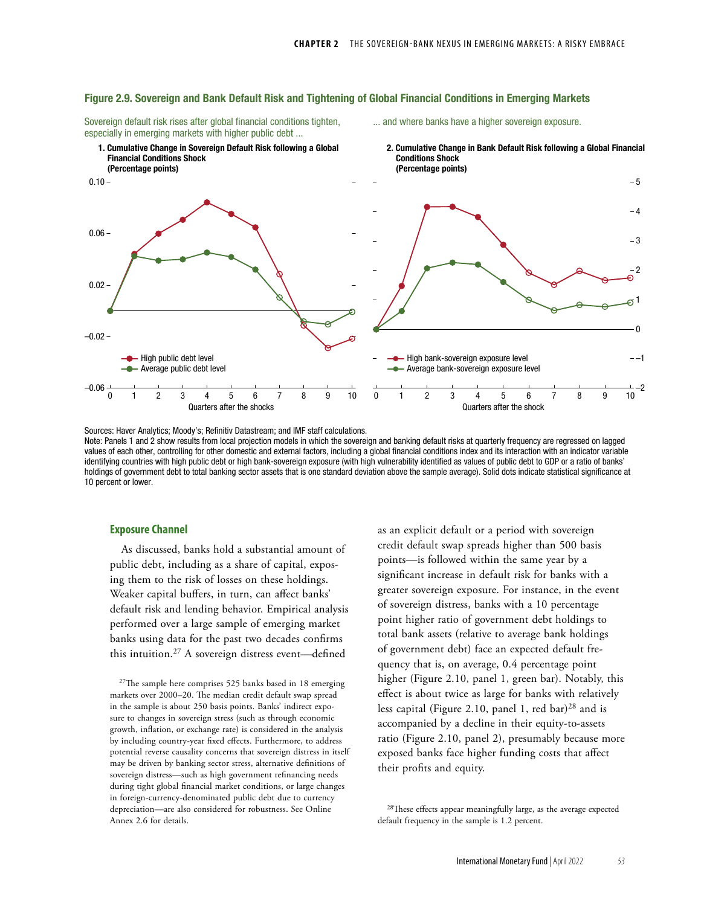... and where banks have a higher sovereign exposure.



### Figure 2.9. Sovereign and Bank Default Risk and Tightening of Global Financial Conditions in Emerging Markets

Sovereign default risk rises after global financial conditions tighten,

Sources: Haver Analytics; Moody's; Refinitiv Datastream; and IMF staff calculations.

Note: Panels 1 and 2 show results from local projection models in which the sovereign and banking default risks at quarterly frequency are regressed on lagged values of each other, controlling for other domestic and external factors, including a global financial conditions index and its interaction with an indicator variable identifying countries with high public debt or high bank-sovereign exposure (with high vulnerability identified as values of public debt to GDP or a ratio of banks' holdings of government debt to total banking sector assets that is one standard deviation above the sample average). Solid dots indicate statistical significance at 10 percent or lower.

### **Exposure Channel**

As discussed, banks hold a substantial amount of public debt, including as a share of capital, exposing them to the risk of losses on these holdings. Weaker capital buffers, in turn, can affect banks' default risk and lending behavior. Empirical analysis performed over a large sample of emerging market banks using data for the past two decades confirms this intuition.27 A sovereign distress event—defined

27The sample here comprises 525 banks based in 18 emerging markets over 2000–20. The median credit default swap spread in the sample is about 250 basis points. Banks' indirect exposure to changes in sovereign stress (such as through economic growth, inflation, or exchange rate) is considered in the analysis by including country-year fixed effects. Furthermore, to address potential reverse causality concerns that sovereign distress in itself may be driven by banking sector stress, alternative definitions of sovereign distress—such as high government refinancing needs during tight global financial market conditions, or large changes in foreign-currency-denominated public debt due to currency depreciation—are also considered for robustness. See Online Annex 2.6 for details.

as an explicit default or a period with sovereign credit default swap spreads higher than 500 basis points—is followed within the same year by a significant increase in default risk for banks with a greater sovereign exposure. For instance, in the event of sovereign distress, banks with a 10 percentage point higher ratio of government debt holdings to total bank assets (relative to average bank holdings of government debt) face an expected default frequency that is, on average, 0.4 percentage point higher (Figure 2.10, panel 1, green bar). Notably, this effect is about twice as large for banks with relatively less capital (Figure 2.10, panel 1, red bar)28 and is accompanied by a decline in their equity-to-assets ratio (Figure 2.10, panel 2), presumably because more exposed banks face higher funding costs that affect their profits and equity.

<sup>28</sup>These effects appear meaningfully large, as the average expected default frequency in the sample is 1.2 percent.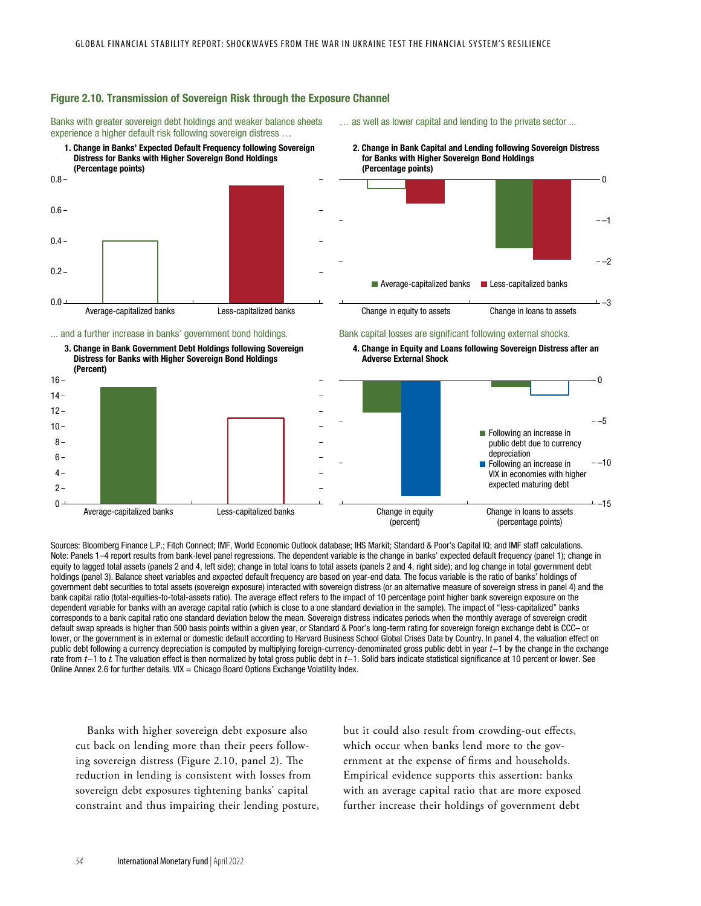### Figure 2.10. Transmission of Sovereign Risk through the Exposure Channel

Banks with greater sovereign debt holdings and weaker balance sheets experience a higher default risk following sovereign distress …

1. Change in Banks' Expected Default Frequency following Sovereign Distress for Banks with Higher Sovereign Bond Holdings (Percentage points)



#### ... and a further increase in banks' government bond holdings.



… as well as lower capital and lending to the private sector ...

2. Change in Bank Capital and Lending following Sovereign Distress for Banks with Higher Sovereign Bond Holdings (Percentage points)



### Bank capital losses are significant following external shocks.





Sources: Bloomberg Finance L.P.; Fitch Connect; IMF, World Economic Outlook database; IHS Markit; Standard & Poor's Capital IQ; and IMF staff calculations. Note: Panels 1–4 report results from bank-level panel regressions. The dependent variable is the change in banks' expected default frequency (panel 1); change in equity to lagged total assets (panels 2 and 4, left side); change in total loans to total assets (panels 2 and 4, right side); and log change in total government debt holdings (panel 3). Balance sheet variables and expected default frequency are based on year-end data. The focus variable is the ratio of banks' holdings of government debt securities to total assets (sovereign exposure) interacted with sovereign distress (or an alternative measure of sovereign stress in panel 4) and the bank capital ratio (total-equities-to-total-assets ratio). The average effect refers to the impact of 10 percentage point higher bank sovereign exposure on the dependent variable for banks with an average capital ratio (which is close to a one standard deviation in the sample). The impact of "less-capitalized" banks corresponds to a bank capital ratio one standard deviation below the mean. Sovereign distress indicates periods when the monthly average of sovereign credit default swap spreads is higher than 500 basis points within a given year, or Standard & Poor's long-term rating for sovereign foreign exchange debt is CCC– or lower, or the government is in external or domestic default according to Harvard Business School Global Crises Data by Country. In panel 4, the valuation effect on public debt following a currency depreciation is computed by multiplying foreign-currency-denominated gross public debt in year *t*−1 by the change in the exchange rate from *t*−1 to *t*. The valuation effect is then normalized by total gross public debt in *t*−1. Solid bars indicate statistical significance at 10 percent or lower. See Online Annex 2.6 for further details.  $VIX =$  Chicago Board Options Exchange Volatility Index.

Banks with higher sovereign debt exposure also cut back on lending more than their peers following sovereign distress (Figure 2.10, panel 2). The reduction in lending is consistent with losses from sovereign debt exposures tightening banks' capital constraint and thus impairing their lending posture, but it could also result from crowding-out effects, which occur when banks lend more to the government at the expense of firms and households. Empirical evidence supports this assertion: banks with an average capital ratio that are more exposed further increase their holdings of government debt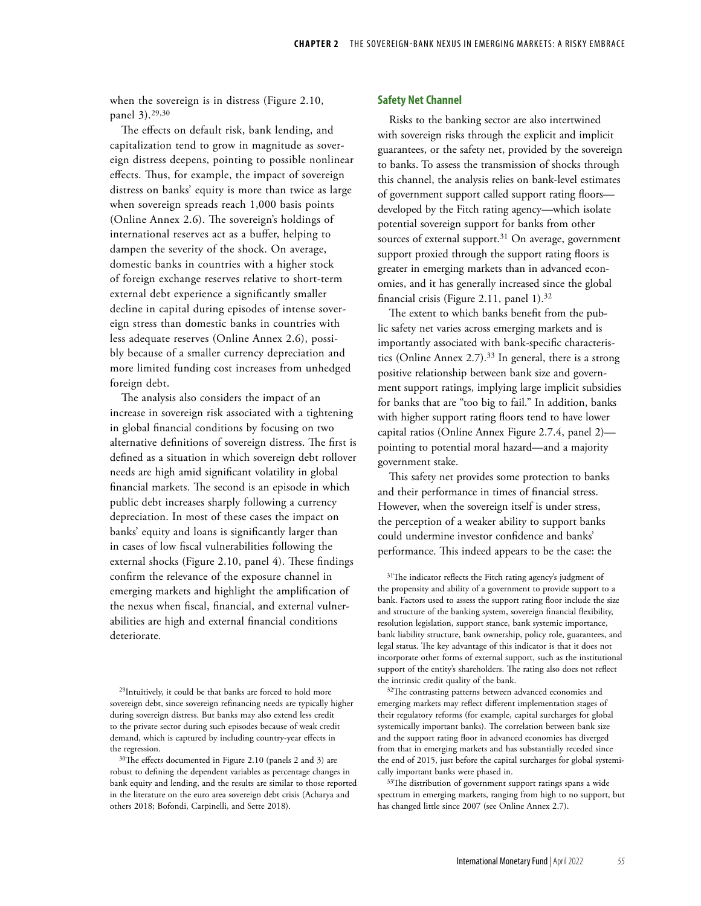when the sovereign is in distress (Figure 2.10, panel 3).29,30

The effects on default risk, bank lending, and capitalization tend to grow in magnitude as sovereign distress deepens, pointing to possible nonlinear effects. Thus, for example, the impact of sovereign distress on banks' equity is more than twice as large when sovereign spreads reach 1,000 basis points (Online Annex 2.6). The sovereign's holdings of international reserves act as a buffer, helping to dampen the severity of the shock. On average, domestic banks in countries with a higher stock of foreign exchange reserves relative to short-term external debt experience a significantly smaller decline in capital during episodes of intense sovereign stress than domestic banks in countries with less adequate reserves (Online Annex 2.6), possibly because of a smaller currency depreciation and more limited funding cost increases from unhedged foreign debt.

The analysis also considers the impact of an increase in sovereign risk associated with a tightening in global financial conditions by focusing on two alternative definitions of sovereign distress. The first is defined as a situation in which sovereign debt rollover needs are high amid significant volatility in global financial markets. The second is an episode in which public debt increases sharply following a currency depreciation. In most of these cases the impact on banks' equity and loans is significantly larger than in cases of low fiscal vulnerabilities following the external shocks (Figure 2.10, panel 4). These findings confirm the relevance of the exposure channel in emerging markets and highlight the amplification of the nexus when fiscal, financial, and external vulnerabilities are high and external financial conditions deteriorate.

<sup>30</sup>The effects documented in Figure 2.10 (panels 2 and 3) are robust to defining the dependent variables as percentage changes in bank equity and lending, and the results are similar to those reported in the literature on the euro area sovereign debt crisis (Acharya and others 2018; Bofondi, Carpinelli, and Sette 2018).

## **Safety Net Channel**

Risks to the banking sector are also intertwined with sovereign risks through the explicit and implicit guarantees, or the safety net, provided by the sovereign to banks. To assess the transmission of shocks through this channel, the analysis relies on bank-level estimates of government support called support rating floors developed by the Fitch rating agency—which isolate potential sovereign support for banks from other sources of external support. $31$  On average, government support proxied through the support rating floors is greater in emerging markets than in advanced economies, and it has generally increased since the global financial crisis (Figure 2.11, panel  $1$ ).<sup>32</sup>

The extent to which banks benefit from the public safety net varies across emerging markets and is importantly associated with bank-specific characteristics (Online Annex 2.7).<sup>33</sup> In general, there is a strong positive relationship between bank size and government support ratings, implying large implicit subsidies for banks that are "too big to fail." In addition, banks with higher support rating floors tend to have lower capital ratios (Online Annex Figure 2.7.4, panel 2) pointing to potential moral hazard—and a majority government stake.

This safety net provides some protection to banks and their performance in times of financial stress. However, when the sovereign itself is under stress, the perception of a weaker ability to support banks could undermine investor confidence and banks' performance. This indeed appears to be the case: the

<sup>32</sup>The contrasting patterns between advanced economies and emerging markets may reflect different implementation stages of their regulatory reforms (for example, capital surcharges for global systemically important banks). The correlation between bank size and the support rating floor in advanced economies has diverged from that in emerging markets and has substantially receded since the end of 2015, just before the capital surcharges for global systemically important banks were phased in.

<sup>33</sup>The distribution of government support ratings spans a wide spectrum in emerging markets, ranging from high to no support, but has changed little since 2007 (see Online Annex 2.7).

<sup>29</sup>Intuitively, it could be that banks are forced to hold more sovereign debt, since sovereign refinancing needs are typically higher during sovereign distress. But banks may also extend less credit to the private sector during such episodes because of weak credit demand, which is captured by including country-year effects in the regression.

<sup>&</sup>lt;sup>31</sup>The indicator reflects the Fitch rating agency's judgment of the propensity and ability of a government to provide support to a bank. Factors used to assess the support rating floor include the size and structure of the banking system, sovereign financial flexibility, resolution legislation, support stance, bank systemic importance, bank liability structure, bank ownership, policy role, guarantees, and legal status. The key advantage of this indicator is that it does not incorporate other forms of external support, such as the institutional support of the entity's shareholders. The rating also does not reflect the intrinsic credit quality of the bank.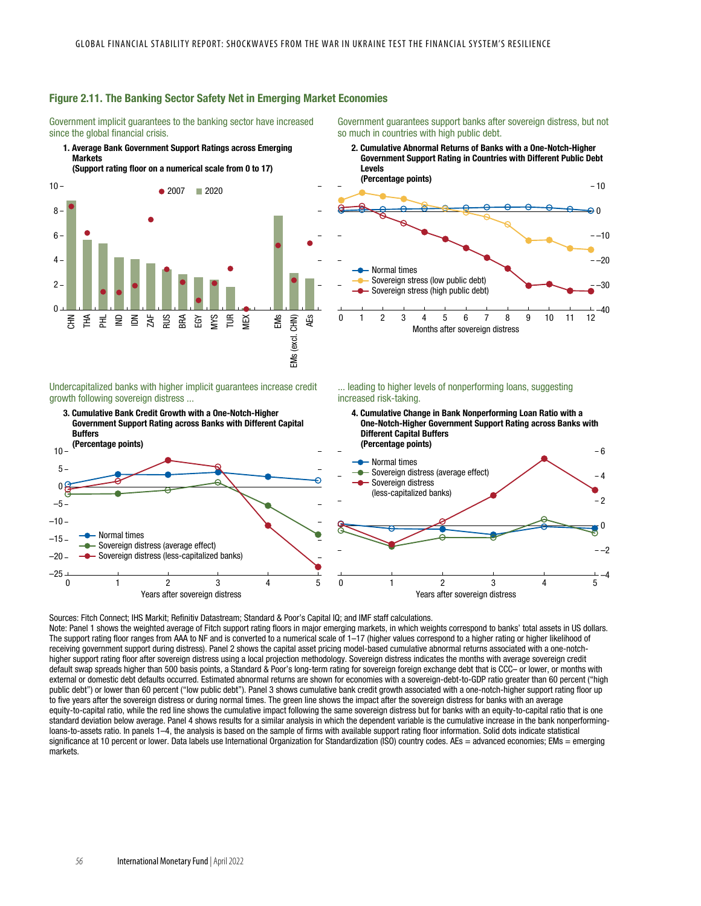## Figure 2.11. The Banking Sector Safety Net in Emerging Market Economies

Government implicit guarantees to the banking sector have increased since the global financial crisis.

1. Average Bank Government Support Ratings across Emerging **Markets** (Support rating floor on a numerical scale from 0 to 17)



Undercapitalized banks with higher implicit guarantees increase credit growth following sovereign distress ...

- Normal times Sovereign distress (average effect) - Sovereign distress (less-capitalized banks) 3. Cumulative Bank Credit Growth with a One-Notch-Higher Government Support Rating across Banks with Different Capital **Buffers** (Percentage points) –25  $10 -$ –20  $-15-$ –10 –5  $0<sup>2</sup>$ 5 Years after sovereign distress 0 1 2 3 4 5

Government guarantees support banks after sovereign distress, but not so much in countries with high public debt.

2. Cumulative Abnormal Returns of Banks with a One-Notch-Higher Government Support Rating in Countries with Different Public Debt Levels



... leading to higher levels of nonperforming loans, suggesting increased risk-taking.

4. Cumulative Change in Bank Nonperforming Loan Ratio with a One-Notch-Higher Government Support Rating across Banks with Different Capital Buffers (Percentage points)



Sources: Fitch Connect; IHS Markit; Refinitiv Datastream; Standard & Poor's Capital IQ; and IMF staff calculations.

Note: Panel 1 shows the weighted average of Fitch support rating floors in major emerging markets, in which weights correspond to banks' total assets in US dollars. The support rating floor ranges from AAA to NF and is converted to a numerical scale of 1–17 (higher values correspond to a higher rating or higher likelihood of receiving government support during distress). Panel 2 shows the capital asset pricing model-based cumulative abnormal returns associated with a one-notchhigher support rating floor after sovereign distress using a local projection methodology. Sovereign distress indicates the months with average sovereign credit default swap spreads higher than 500 basis points, a Standard & Poor's long-term rating for sovereign foreign exchange debt that is CCC– or lower, or months with external or domestic debt defaults occurred. Estimated abnormal returns are shown for economies with a sovereign-debt-to-GDP ratio greater than 60 percent ("high public debt") or lower than 60 percent ("low public debt"). Panel 3 shows cumulative bank credit growth associated with a one-notch-higher support rating floor up to five years after the sovereign distress or during normal times. The green line shows the impact after the sovereign distress for banks with an average equity-to-capital ratio, while the red line shows the cumulative impact following the same sovereign distress but for banks with an equity-to-capital ratio that is one standard deviation below average. Panel 4 shows results for a similar analysis in which the dependent variable is the cumulative increase in the bank nonperformingloans-to-assets ratio. In panels 1–4, the analysis is based on the sample of firms with available support rating floor information. Solid dots indicate statistical significance at 10 percent or lower. Data labels use International Organization for Standardization (ISO) country codes. AEs = advanced economies; EMs = emerging markets.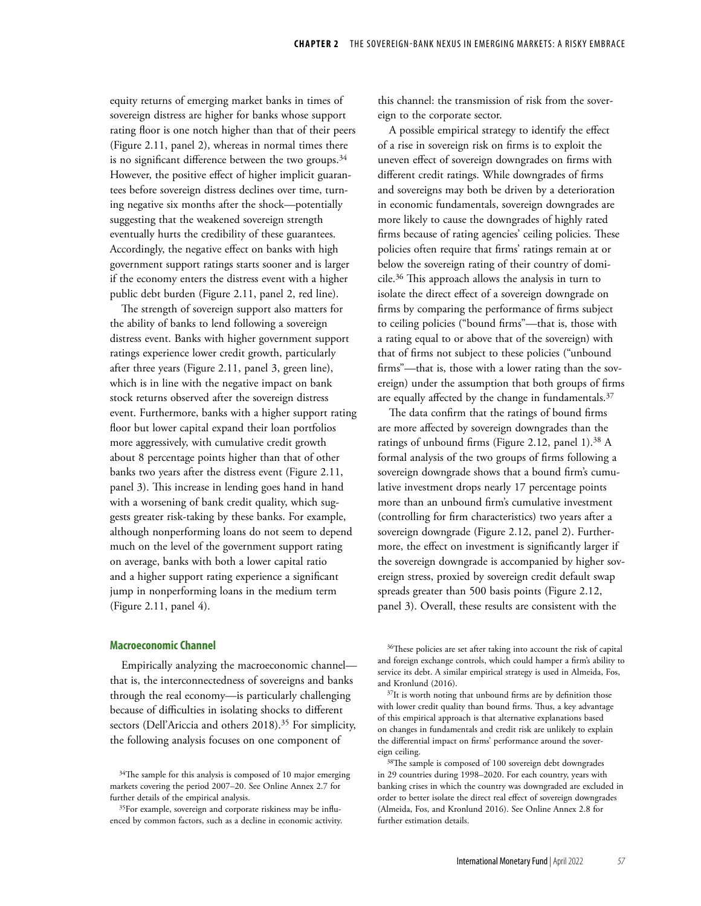equity returns of emerging market banks in times of sovereign distress are higher for banks whose support rating floor is one notch higher than that of their peers (Figure 2.11, panel 2), whereas in normal times there is no significant difference between the two groups. $34$ However, the positive effect of higher implicit guarantees before sovereign distress declines over time, turning negative six months after the shock—potentially suggesting that the weakened sovereign strength eventually hurts the credibility of these guarantees. Accordingly, the negative effect on banks with high government support ratings starts sooner and is larger if the economy enters the distress event with a higher public debt burden (Figure 2.11, panel 2, red line).

The strength of sovereign support also matters for the ability of banks to lend following a sovereign distress event. Banks with higher government support ratings experience lower credit growth, particularly after three years (Figure 2.11, panel 3, green line), which is in line with the negative impact on bank stock returns observed after the sovereign distress event. Furthermore, banks with a higher support rating floor but lower capital expand their loan portfolios more aggressively, with cumulative credit growth about 8 percentage points higher than that of other banks two years after the distress event (Figure 2.11, panel 3). This increase in lending goes hand in hand with a worsening of bank credit quality, which suggests greater risk-taking by these banks. For example, although nonperforming loans do not seem to depend much on the level of the government support rating on average, banks with both a lower capital ratio and a higher support rating experience a significant jump in nonperforming loans in the medium term (Figure 2.11, panel 4).

this channel: the transmission of risk from the sovereign to the corporate sector.

A possible empirical strategy to identify the effect of a rise in sovereign risk on firms is to exploit the uneven effect of sovereign downgrades on firms with different credit ratings. While downgrades of firms and sovereigns may both be driven by a deterioration in economic fundamentals, sovereign downgrades are more likely to cause the downgrades of highly rated firms because of rating agencies' ceiling policies. These policies often require that firms' ratings remain at or below the sovereign rating of their country of domicile.36 This approach allows the analysis in turn to isolate the direct effect of a sovereign downgrade on firms by comparing the performance of firms subject to ceiling policies ("bound firms"—that is, those with a rating equal to or above that of the sovereign) with that of firms not subject to these policies ("unbound firms"—that is, those with a lower rating than the sovereign) under the assumption that both groups of firms are equally affected by the change in fundamentals.<sup>37</sup>

The data confirm that the ratings of bound firms are more affected by sovereign downgrades than the ratings of unbound firms (Figure 2.12, panel 1). $38$  A formal analysis of the two groups of firms following a sovereign downgrade shows that a bound firm's cumulative investment drops nearly 17 percentage points more than an unbound firm's cumulative investment (controlling for firm characteristics) two years after a sovereign downgrade (Figure 2.12, panel 2). Furthermore, the effect on investment is significantly larger if the sovereign downgrade is accompanied by higher sovereign stress, proxied by sovereign credit default swap spreads greater than 500 basis points (Figure 2.12, panel 3). Overall, these results are consistent with the

#### **Macroeconomic Channel**

Empirically analyzing the macroeconomic channel that is, the interconnectedness of sovereigns and banks through the real economy—is particularly challenging because of difficulties in isolating shocks to different sectors (Dell'Ariccia and others 2018).<sup>35</sup> For simplicity, the following analysis focuses on one component of

<sup>36</sup>These policies are set after taking into account the risk of capital and foreign exchange controls, which could hamper a firm's ability to service its debt. A similar empirical strategy is used in Almeida, Fos, and Kronlund (2016).

 $37$ It is worth noting that unbound firms are by definition those with lower credit quality than bound firms. Thus, a key advantage of this empirical approach is that alternative explanations based on changes in fundamentals and credit risk are unlikely to explain the differential impact on firms' performance around the sovereign ceiling.

<sup>38</sup>The sample is composed of 100 sovereign debt downgrades in 29 countries during 1998–2020. For each country, years with banking crises in which the country was downgraded are excluded in order to better isolate the direct real effect of sovereign downgrades (Almeida, Fos, and Kronlund 2016). See Online Annex 2.8 for further estimation details.

<sup>&</sup>lt;sup>34</sup>The sample for this analysis is composed of 10 major emerging markets covering the period 2007–20. See Online Annex 2.7 for further details of the empirical analysis.

<sup>35</sup>For example, sovereign and corporate riskiness may be influenced by common factors, such as a decline in economic activity.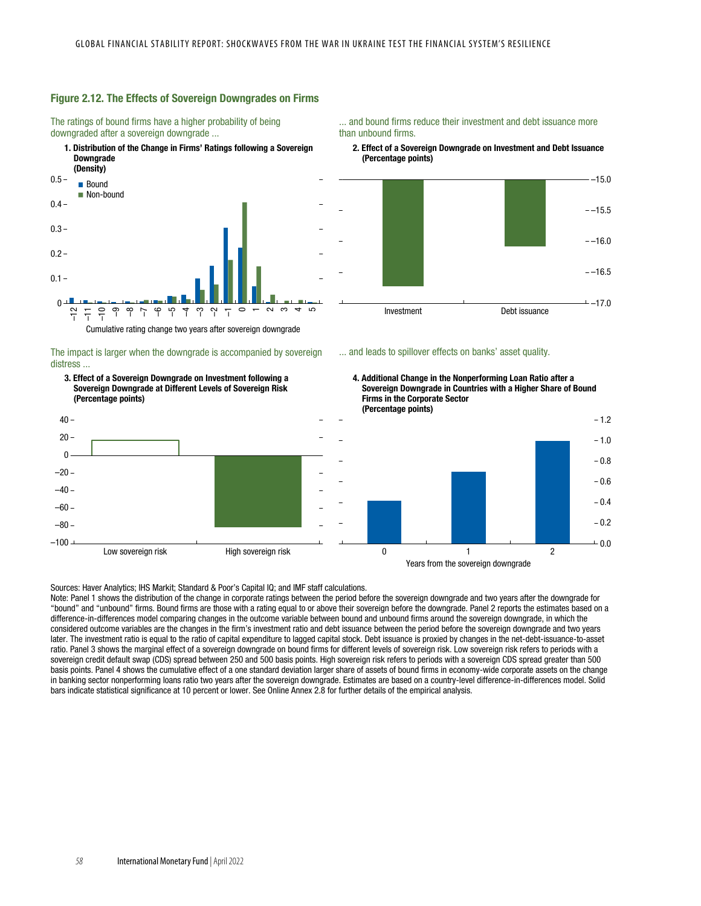## Figure 2.12. The Effects of Sovereign Downgrades on Firms

The ratings of bound firms have a higher probability of being downgraded after a sovereign downgrade ...





The impact is larger when the downgrade is accompanied by sovereign distress ...

3. Effect of a Sovereign Downgrade on Investment following a Sovereign Downgrade at Different Levels of Sovereign Risk (Percentage points)



... and bound firms reduce their investment and debt issuance more than unbound firms.

2. Effect of a Sovereign Downgrade on Investment and Debt Issuance (Percentage points)



#### ... and leads to spillover effects on banks' asset quality.





Sources: Haver Analytics; IHS Markit; Standard & Poor's Capital IQ; and IMF staff calculations.

Note: Panel 1 shows the distribution of the change in corporate ratings between the period before the sovereign downgrade and two years after the downgrade for "bound" and "unbound" firms. Bound firms are those with a rating equal to or above their sovereign before the downgrade. Panel 2 reports the estimates based on a difference-in-differences model comparing changes in the outcome variable between bound and unbound firms around the sovereign downgrade, in which the considered outcome variables are the changes in the firm's investment ratio and debt issuance between the period before the sovereign downgrade and two years later. The investment ratio is equal to the ratio of capital expenditure to lagged capital stock. Debt issuance is proxied by changes in the net-debt-issuance-to-asset ratio. Panel 3 shows the marginal effect of a sovereign downgrade on bound firms for different levels of sovereign risk. Low sovereign risk refers to periods with a sovereign credit default swap (CDS) spread between 250 and 500 basis points. High sovereign risk refers to periods with a sovereign CDS spread greater than 500 basis points. Panel 4 shows the cumulative effect of a one standard deviation larger share of assets of bound firms in economy-wide corporate assets on the change in banking sector nonperforming loans ratio two years after the sovereign downgrade. Estimates are based on a country-level difference-in-differences model. Solid bars indicate statistical significance at 10 percent or lower. See Online Annex 2.8 for further details of the empirical analysis.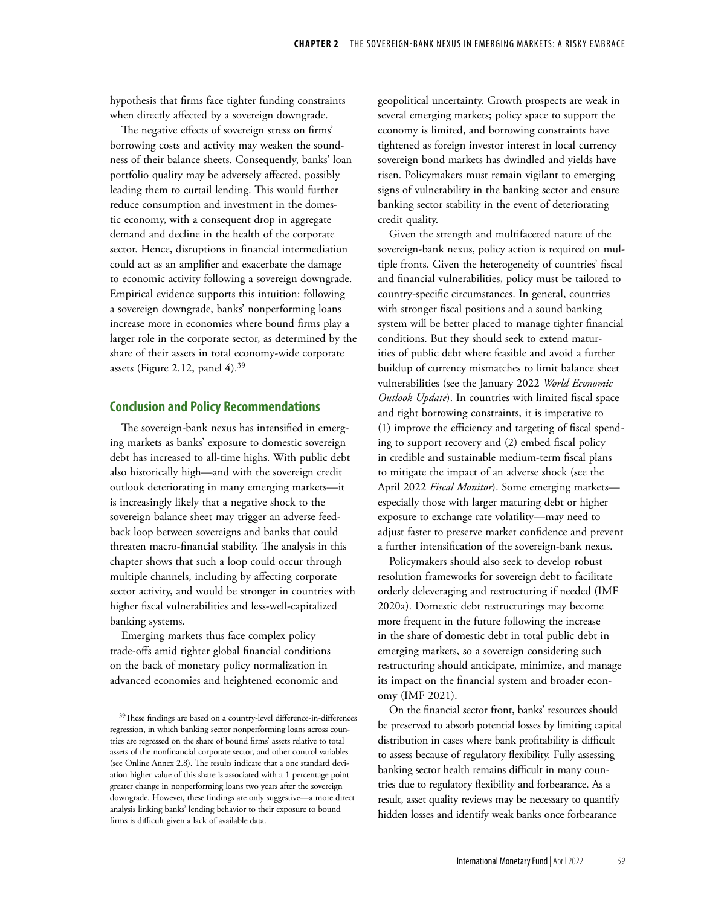hypothesis that firms face tighter funding constraints when directly affected by a sovereign downgrade.

The negative effects of sovereign stress on firms' borrowing costs and activity may weaken the soundness of their balance sheets. Consequently, banks' loan portfolio quality may be adversely affected, possibly leading them to curtail lending. This would further reduce consumption and investment in the domestic economy, with a consequent drop in aggregate demand and decline in the health of the corporate sector. Hence, disruptions in financial intermediation could act as an amplifier and exacerbate the damage to economic activity following a sovereign downgrade. Empirical evidence supports this intuition: following a sovereign downgrade, banks' nonperforming loans increase more in economies where bound firms play a larger role in the corporate sector, as determined by the share of their assets in total economy-wide corporate assets (Figure 2.12, panel 4).<sup>39</sup>

## **Conclusion and Policy Recommendations**

The sovereign-bank nexus has intensified in emerging markets as banks' exposure to domestic sovereign debt has increased to all-time highs. With public debt also historically high—and with the sovereign credit outlook deteriorating in many emerging markets—it is increasingly likely that a negative shock to the sovereign balance sheet may trigger an adverse feedback loop between sovereigns and banks that could threaten macro-financial stability. The analysis in this chapter shows that such a loop could occur through multiple channels, including by affecting corporate sector activity, and would be stronger in countries with higher fiscal vulnerabilities and less-well-capitalized banking systems.

Emerging markets thus face complex policy trade-offs amid tighter global financial conditions on the back of monetary policy normalization in advanced economies and heightened economic and geopolitical uncertainty. Growth prospects are weak in several emerging markets; policy space to support the economy is limited, and borrowing constraints have tightened as foreign investor interest in local currency sovereign bond markets has dwindled and yields have risen. Policymakers must remain vigilant to emerging signs of vulnerability in the banking sector and ensure banking sector stability in the event of deteriorating credit quality.

Given the strength and multifaceted nature of the sovereign-bank nexus, policy action is required on multiple fronts. Given the heterogeneity of countries' fiscal and financial vulnerabilities, policy must be tailored to country-specific circumstances. In general, countries with stronger fiscal positions and a sound banking system will be better placed to manage tighter financial conditions. But they should seek to extend maturities of public debt where feasible and avoid a further buildup of currency mismatches to limit balance sheet vulnerabilities (see the January 2022 *World Economic Outlook Update*). In countries with limited fiscal space and tight borrowing constraints, it is imperative to (1) improve the efficiency and targeting of fiscal spending to support recovery and (2) embed fiscal policy in credible and sustainable medium-term fiscal plans to mitigate the impact of an adverse shock (see the April 2022 *Fiscal Monitor*). Some emerging markets especially those with larger maturing debt or higher exposure to exchange rate volatility—may need to adjust faster to preserve market confidence and prevent a further intensification of the sovereign-bank nexus.

Policymakers should also seek to develop robust resolution frameworks for sovereign debt to facilitate orderly deleveraging and restructuring if needed (IMF 2020a). Domestic debt restructurings may become more frequent in the future following the increase in the share of domestic debt in total public debt in emerging markets, so a sovereign considering such restructuring should anticipate, minimize, and manage its impact on the financial system and broader economy [\(IMF 2021\)](https://www.imf.org/en/Publications/Policy-Papers/Issues/2021/11/30/Issues-in-Restructuring-of-Domestic-Sovereign-Debt-510371).

On the financial sector front, banks' resources should be preserved to absorb potential losses by limiting capital distribution in cases where bank profitability is difficult to assess because of regulatory flexibility. Fully assessing banking sector health remains difficult in many countries due to regulatory flexibility and forbearance. As a result, asset quality reviews may be necessary to quantify hidden losses and identify weak banks once forbearance

<sup>39</sup>These findings are based on a country-level difference-in-differences regression, in which banking sector nonperforming loans across countries are regressed on the share of bound firms' assets relative to total assets of the nonfinancial corporate sector, and other control variables (see Online Annex 2.8). The results indicate that a one standard deviation higher value of this share is associated with a 1 percentage point greater change in nonperforming loans two years after the sovereign downgrade. However, these findings are only suggestive—a more direct analysis linking banks' lending behavior to their exposure to bound firms is difficult given a lack of available data.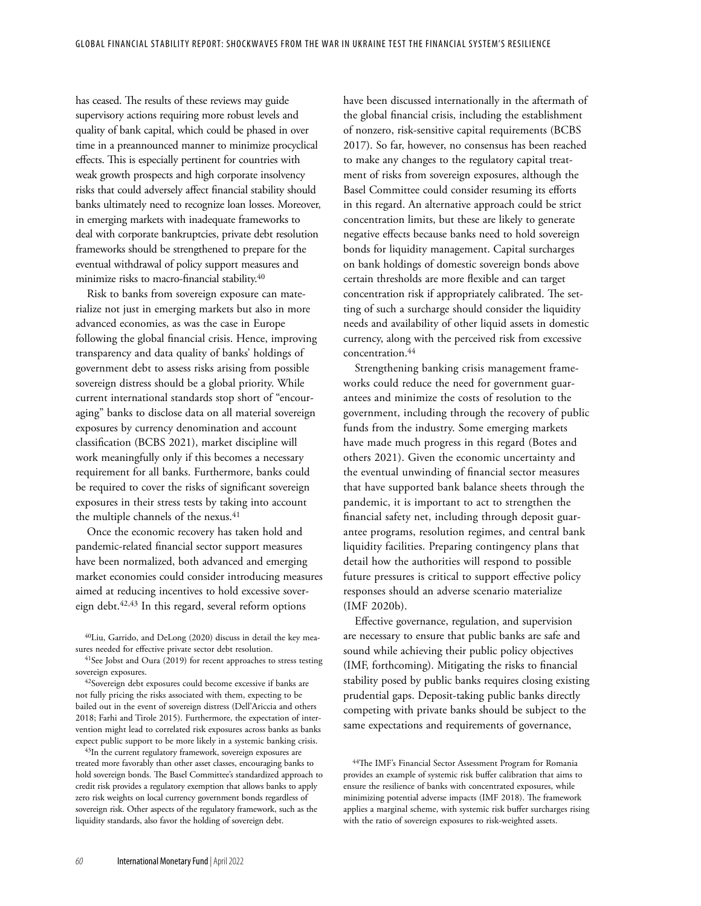has ceased. The results of these reviews may guide supervisory actions requiring more robust levels and quality of bank capital, which could be phased in over time in a preannounced manner to minimize procyclical effects. This is especially pertinent for countries with weak growth prospects and high corporate insolvency risks that could adversely affect financial stability should banks ultimately need to recognize loan losses. Moreover, in emerging markets with inadequate frameworks to deal with corporate bankruptcies, private debt resolution frameworks should be strengthened to prepare for the eventual withdrawal of policy support measures and minimize risks to macro-financial stability.40

Risk to banks from sovereign exposure can materialize not just in emerging markets but also in more advanced economies, as was the case in Europe following the global financial crisis. Hence, improving transparency and data quality of banks' holdings of government debt to assess risks arising from possible sovereign distress should be a global priority. While current international standards stop short of "encouraging" banks to disclose data on all material sovereign exposures by currency denomination and account classification (BCBS 2021), market discipline will work meaningfully only if this becomes a necessary requirement for all banks. Furthermore, banks could be required to cover the risks of significant sovereign exposures in their stress tests by taking into account the multiple channels of the nexus.<sup>41</sup>

Once the economic recovery has taken hold and pandemic-related financial sector support measures have been normalized, both advanced and emerging market economies could consider introducing measures aimed at reducing incentives to hold excessive sovereign debt.42,43 In this regard, several reform options

40Liu, Garrido, and DeLong (2020) discuss in detail the key measures needed for effective private sector debt resolution.

41See Jobst and Oura (2019) for recent approaches to stress testing sovereign exposures.

42Sovereign debt exposures could become excessive if banks are not fully pricing the risks associated with them, expecting to be bailed out in the event of sovereign distress (Dell'Ariccia and others 2018; Farhi and Tirole 2015). Furthermore, the expectation of intervention might lead to correlated risk exposures across banks as banks expect public support to be more likely in a systemic banking crisis.

43In the current regulatory framework, sovereign exposures are treated more favorably than other asset classes, encouraging banks to hold sovereign bonds. The Basel Committee's standardized approach to credit risk provides a regulatory exemption that allows banks to apply zero risk weights on local currency government bonds regardless of sovereign risk. Other aspects of the regulatory framework, such as the liquidity standards, also favor the holding of sovereign debt.

have been discussed internationally in the aftermath of the global financial crisis, including the establishment of nonzero, risk-sensitive capital requirements (BCBS 2017). So far, however, no consensus has been reached to make any changes to the regulatory capital treatment of risks from sovereign exposures, although the Basel Committee could consider resuming its efforts in this regard. An alternative approach could be strict concentration limits, but these are likely to generate negative effects because banks need to hold sovereign bonds for liquidity management. Capital surcharges on bank holdings of domestic sovereign bonds above certain thresholds are more flexible and can target concentration risk if appropriately calibrated. The setting of such a surcharge should consider the liquidity needs and availability of other liquid assets in domestic currency, along with the perceived risk from excessive concentration.44

Strengthening banking crisis management frameworks could reduce the need for government guarantees and minimize the costs of resolution to the government, including through the recovery of public funds from the industry. Some emerging markets have made much progress in this regard (Botes and others 2021). Given the economic uncertainty and the eventual unwinding of financial sector measures that have supported bank balance sheets through the pandemic, it is important to act to strengthen the financial safety net, including through deposit guarantee programs, resolution regimes, and central bank liquidity facilities. Preparing contingency plans that detail how the authorities will respond to possible future pressures is critical to support effective policy responses should an adverse scenario materialize (IMF 2020b).

Effective governance, regulation, and supervision are necessary to ensure that public banks are safe and sound while achieving their public policy objectives (IMF, forthcoming). Mitigating the risks to financial stability posed by public banks requires closing existing prudential gaps. Deposit-taking public banks directly competing with private banks should be subject to the same expectations and requirements of governance,

44The IMF's Financial Sector Assessment Program for Romania provides an example of systemic risk buffer calibration that aims to ensure the resilience of banks with concentrated exposures, while minimizing potential adverse impacts (IMF 2018). The framework applies a marginal scheme, with systemic risk buffer surcharges rising with the ratio of sovereign exposures to risk-weighted assets.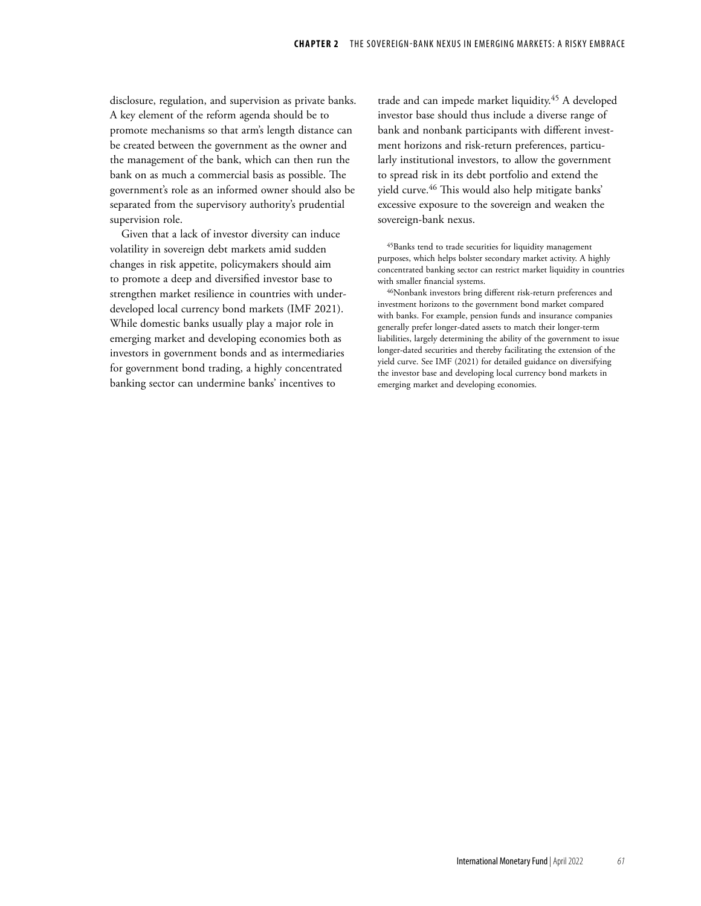disclosure, regulation, and supervision as private banks. A key element of the reform agenda should be to promote mechanisms so that arm's length distance can be created between the government as the owner and the management of the bank, which can then run the bank on as much a commercial basis as possible. The government's role as an informed owner should also be separated from the supervisory authority's prudential supervision role.

Given that a lack of investor diversity can induce volatility in sovereign debt markets amid sudden changes in risk appetite, policymakers should aim to promote a deep and diversified investor base to strengthen market resilience in countries with underdeveloped local currency bond markets ([IMF 2021\)](https://www.imf.org/en/Publications/analytical-notes/Issues/2021/03/17/Guidance-Note-For-Developing-Government-Local-Currency-Bond-Markets-50256). While domestic banks usually play a major role in emerging market and developing economies both as investors in government bonds and as intermediaries for government bond trading, a highly concentrated banking sector can undermine banks' incentives to

trade and can impede market liquidity.45 A developed investor base should thus include a diverse range of bank and nonbank participants with different investment horizons and risk-return preferences, particularly institutional investors, to allow the government to spread risk in its debt portfolio and extend the yield curve.<sup>46</sup> This would also help mitigate banks' excessive exposure to the sovereign and weaken the sovereign-bank nexus.

45Banks tend to trade securities for liquidity management purposes, which helps bolster secondary market activity. A highly concentrated banking sector can restrict market liquidity in countries with smaller financial systems.

46Nonbank investors bring different risk-return preferences and investment horizons to the government bond market compared with banks. For example, pension funds and insurance companies generally prefer longer-dated assets to match their longer-term liabilities, largely determining the ability of the government to issue longer-dated securities and thereby facilitating the extension of the yield curve. See IMF (2021) for detailed guidance on diversifying the investor base and developing local currency bond markets in emerging market and developing economies.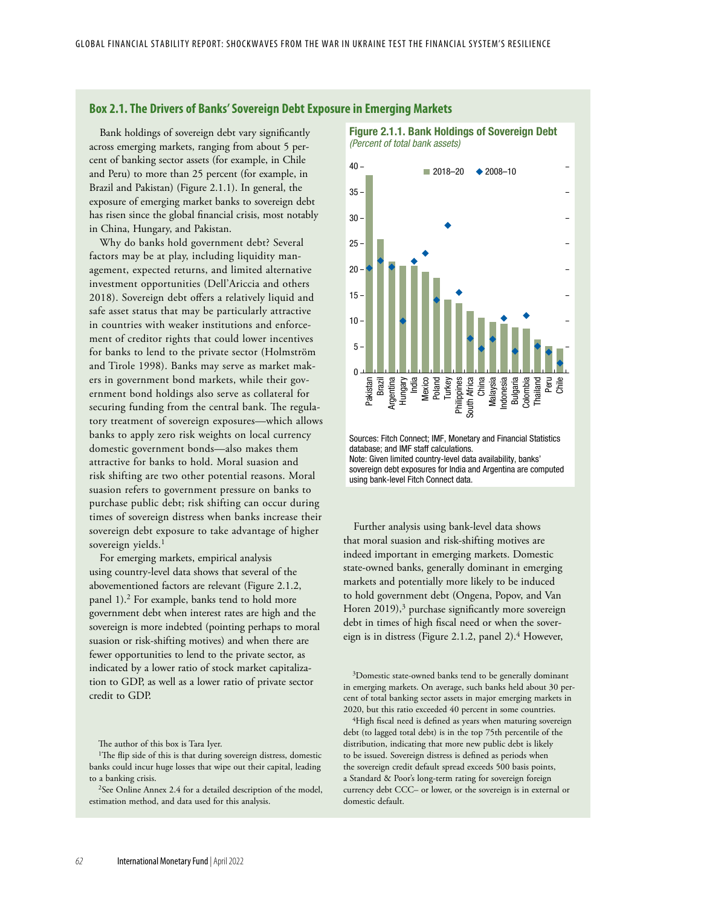## **Box 2.1. The Drivers of Banks' Sovereign Debt Exposure in Emerging Markets**

Bank holdings of sovereign debt vary significantly across emerging markets, ranging from about 5 percent of banking sector assets (for example, in Chile and Peru) to more than 25 percent (for example, in Brazil and Pakistan) (Figure 2.1.1). In general, the exposure of emerging market banks to sovereign debt has risen since the global financial crisis, most notably in China, Hungary, and Pakistan.

Why do banks hold government debt? Several factors may be at play, including liquidity management, expected returns, and limited alternative investment opportunities (Dell'Ariccia and others 2018). Sovereign debt offers a relatively liquid and safe asset status that may be particularly attractive in countries with weaker institutions and enforcement of creditor rights that could lower incentives for banks to lend to the private sector (Holmström and Tirole 1998). Banks may serve as market makers in government bond markets, while their government bond holdings also serve as collateral for securing funding from the central bank. The regulatory treatment of sovereign exposures—which allows banks to apply zero risk weights on local currency domestic government bonds—also makes them attractive for banks to hold. Moral suasion and risk shifting are two other potential reasons. Moral suasion refers to government pressure on banks to purchase public debt; risk shifting can occur during times of sovereign distress when banks increase their sovereign debt exposure to take advantage of higher sovereign yields.<sup>1</sup>

For emerging markets, empirical analysis using country-level data shows that several of the abovementioned factors are relevant (Figure 2.1.2, panel 1).2 For example, banks tend to hold more government debt when interest rates are high and the sovereign is more indebted (pointing perhaps to moral suasion or risk-shifting motives) and when there are fewer opportunities to lend to the private sector, as indicated by a lower ratio of stock market capitalization to GDP, as well as a lower ratio of private sector credit to GDP.

The author of this box is Tara Iyer.

<sup>1</sup>The flip side of this is that during sovereign distress, domestic banks could incur huge losses that wipe out their capital, leading to a banking crisis.

2See Online Annex 2.4 for a detailed description of the model, estimation method, and data used for this analysis.

Figure 2.1.1. Bank Holdings of Sovereign Debt *(Percent of total bank assets)*



Sources: Fitch Connect; IMF, Monetary and Financial Statistics database; and IMF staff calculations. Note: Given limited country-level data availability, banks' sovereign debt exposures for India and Argentina are computed using bank-level Fitch Connect data.

Further analysis using bank-level data shows that moral suasion and risk-shifting motives are indeed important in emerging markets. Domestic state-owned banks, generally dominant in emerging markets and potentially more likely to be induced to hold government debt (Ongena, Popov, and Van Horen 2019), $3$  purchase significantly more sovereign debt in times of high fiscal need or when the sovereign is in distress (Figure 2.1.2, panel 2). $4$  However,

3Domestic state-owned banks tend to be generally dominant in emerging markets. On average, such banks held about 30 percent of total banking sector assets in major emerging markets in 2020, but this ratio exceeded 40 percent in some countries.

<sup>4</sup>High fiscal need is defined as years when maturing sovereign debt (to lagged total debt) is in the top 75th percentile of the distribution, indicating that more new public debt is likely to be issued. Sovereign distress is defined as periods when the sovereign credit default spread exceeds 500 basis points, a Standard & Poor's long-term rating for sovereign foreign currency debt CCC– or lower, or the sovereign is in external or domestic default.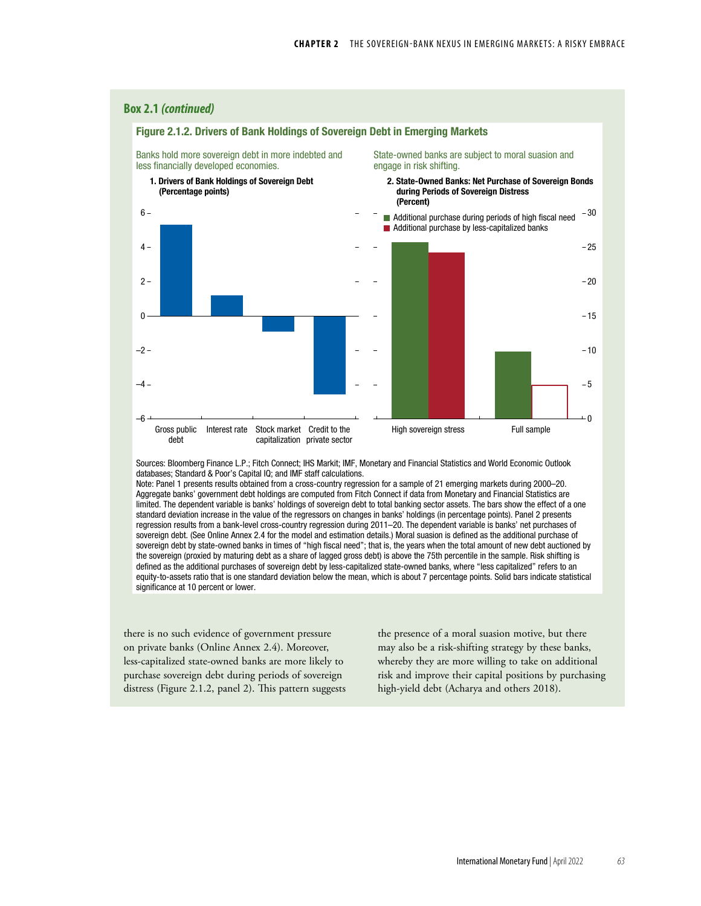

Sources: Bloomberg Finance L.P.; Fitch Connect; IHS Markit; IMF, Monetary and Financial Statistics and World Economic Outlook databases; Standard & Poor's Capital IQ; and IMF staff calculations.

Note: Panel 1 presents results obtained from a cross-country regression for a sample of 21 emerging markets during 2000–20. Aggregate banks' government debt holdings are computed from Fitch Connect if data from Monetary and Financial Statistics are limited. The dependent variable is banks' holdings of sovereign debt to total banking sector assets. The bars show the effect of a one standard deviation increase in the value of the regressors on changes in banks' holdings (in percentage points). Panel 2 presents regression results from a bank-level cross-country regression during 2011–20. The dependent variable is banks' net purchases of sovereign debt. (See Online Annex 2.4 for the model and estimation details.) Moral suasion is defined as the additional purchase of sovereign debt by state-owned banks in times of "high fiscal need"; that is, the years when the total amount of new debt auctioned by the sovereign (proxied by maturing debt as a share of lagged gross debt) is above the 75th percentile in the sample. Risk shifting is defined as the additional purchases of sovereign debt by less-capitalized state-owned banks, where "less capitalized" refers to an equity-to-assets ratio that is one standard deviation below the mean, which is about 7 percentage points. Solid bars indicate statistical significance at 10 percent or lower.

there is no such evidence of government pressure on private banks (Online Annex 2.4). Moreover, less-capitalized state-owned banks are more likely to purchase sovereign debt during periods of sovereign distress (Figure 2.1.2, panel 2). This pattern suggests the presence of a moral suasion motive, but there may also be a risk-shifting strategy by these banks, whereby they are more willing to take on additional risk and improve their capital positions by purchasing high-yield debt (Acharya and others 2018).